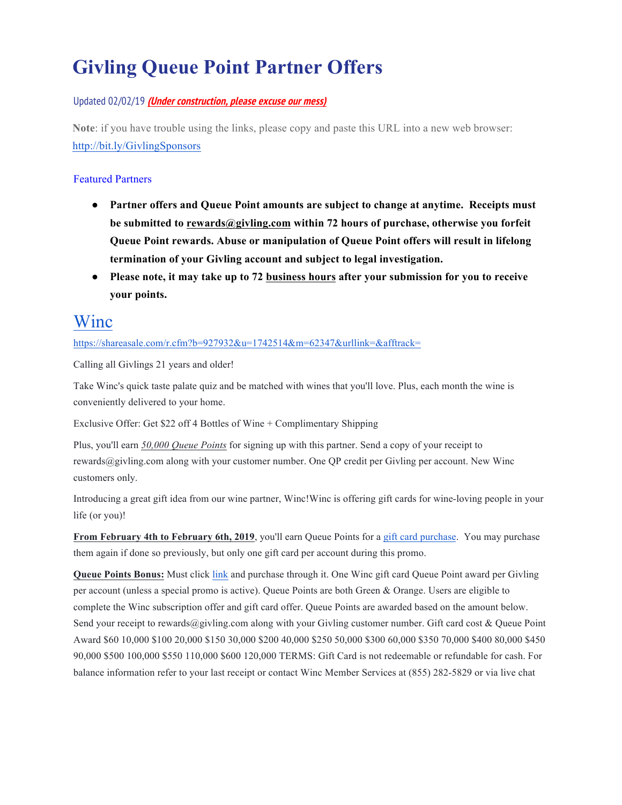# **Givling Queue Point Partner Offers**

#### Updated 02/02/19 **(Under construction, please excuse our mess)**

**Note**: if you have trouble using the links, please copy and paste this URL into a new web browser: http://bit.ly/GivlingSponsors

#### Featured Partners

- **Partner offers and Queue Point amounts are subject to change at anytime. Receipts must be submitted to rewards@givling.com within 72 hours of purchase, otherwise you forfeit Queue Point rewards. Abuse or manipulation of Queue Point offers will result in lifelong termination of your Givling account and subject to legal investigation.**
- **Please note, it may take up to 72 business hours after your submission for you to receive your points.**

### Winc

https://shareasale.com/r.cfm?b=927932&u=1742514&m=62347&urllink=&afftrack=

Calling all Givlings 21 years and older!

Take Winc's quick taste palate quiz and be matched with wines that you'll love. Plus, each month the wine is conveniently delivered to your home.

Exclusive Offer: Get \$22 off 4 Bottles of Wine + Complimentary Shipping

Plus, you'll earn *50,000 Queue Points* for signing up with this partner. Send a copy of your receipt to rewards@givling.com along with your customer number. One QP credit per Givling per account. New Winc customers only.

Introducing a great gift idea from our wine partner, Winc!Winc is offering gift cards for wine-loving people in your life (or you)!

**From February 4th to February 6th, 2019**, you'll earn Queue Points for a gift card purchase. You may purchase them again if done so previously, but only one gift card per account during this promo.

**Queue Points Bonus:** Must click link and purchase through it. One Winc gift card Queue Point award per Givling per account (unless a special promo is active). Queue Points are both Green & Orange. Users are eligible to complete the Winc subscription offer and gift card offer. Queue Points are awarded based on the amount below. Send your receipt to rewards@givling.com along with your Givling customer number. Gift card cost & Queue Point Award \$60 10,000 \$100 20,000 \$150 30,000 \$200 40,000 \$250 50,000 \$300 60,000 \$350 70,000 \$400 80,000 \$450 90,000 \$500 100,000 \$550 110,000 \$600 120,000 TERMS: Gift Card is not redeemable or refundable for cash. For balance information refer to your last receipt or contact Winc Member Services at (855) 282-5829 or via live chat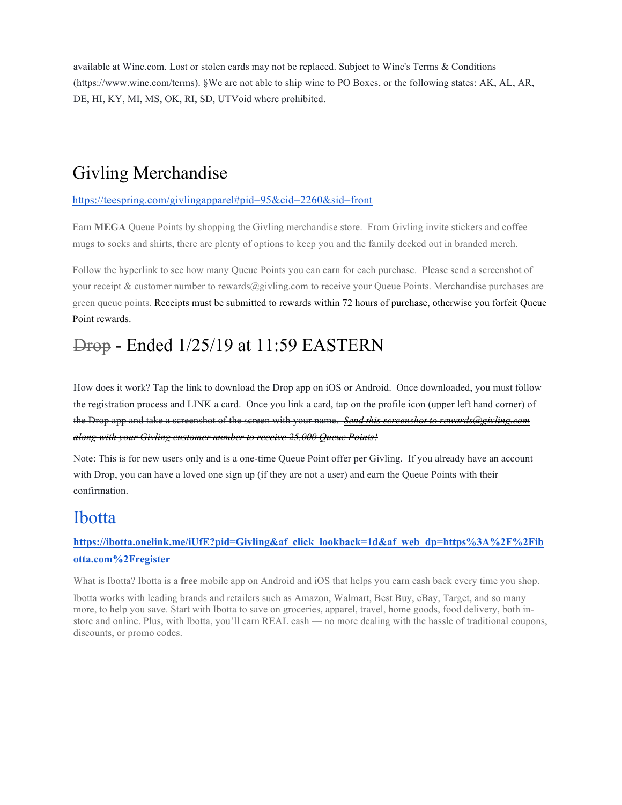available at Winc.com. Lost or stolen cards may not be replaced. Subject to Winc's Terms & Conditions (https://www.winc.com/terms). §We are not able to ship wine to PO Boxes, or the following states: AK, AL, AR, DE, HI, KY, MI, MS, OK, RI, SD, UTVoid where prohibited.

## Givling Merchandise

#### https://teespring.com/givlingapparel#pid=95&cid=2260&sid=front

Earn **MEGA** Queue Points by shopping the Givling merchandise store. From Givling invite stickers and coffee mugs to socks and shirts, there are plenty of options to keep you and the family decked out in branded merch.

Follow the hyperlink to see how many Queue Points you can earn for each purchase. Please send a screenshot of your receipt & customer number to rewards@givling.com to receive your Queue Points. Merchandise purchases are green queue points. Receipts must be submitted to rewards within 72 hours of purchase, otherwise you forfeit Queue Point rewards.

### Drop - Ended 1/25/19 at 11:59 EASTERN

How does it work? Tap the link to download the Drop app on iOS or Android. Once downloaded, you must follow the registration process and LINK a card. Once you link a card, tap on the profile icon (upper left hand corner) of the Drop app and take a screenshot of the screen with your name. *Send this screenshot to rewards@givling.com along with your Givling customer number to receive 25,000 Queue Points!*

Note: This is for new users only and is a one-time Queue Point offer per Givling. If you already have an account with Drop, you can have a loved one sign up (if they are not a user) and earn the Queue Points with their confirmation.

### Ibotta

#### **https://ibotta.onelink.me/iUfE?pid=Givling&af\_click\_lookback=1d&af\_web\_dp=https%3A%2F%2Fib otta.com%2Fregister**

What is Ibotta? Ibotta is a **free** mobile app on Android and iOS that helps you earn cash back every time you shop.

Ibotta works with leading brands and retailers such as Amazon, Walmart, Best Buy, eBay, Target, and so many more, to help you save. Start with Ibotta to save on groceries, apparel, travel, home goods, food delivery, both instore and online. Plus, with Ibotta, you'll earn REAL cash — no more dealing with the hassle of traditional coupons, discounts, or promo codes.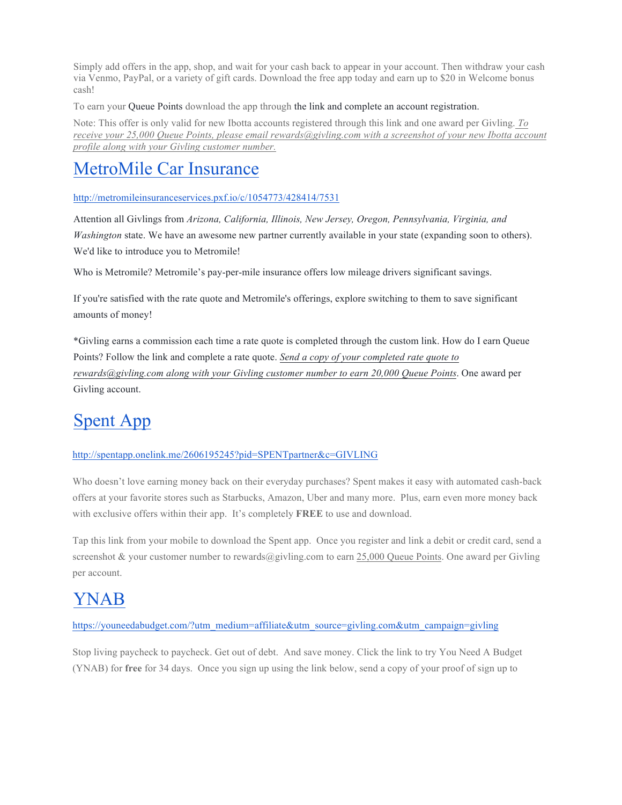Simply add offers in the app, shop, and wait for your cash back to appear in your account. Then withdraw your cash via Venmo, PayPal, or a variety of gift cards. Download the free app today and earn up to \$20 in Welcome bonus cash!

To earn your Queue Points download the app through the link and complete an account registration.

Note: This offer is only valid for new Ibotta accounts registered through this link and one award per Givling. *To receive your 25,000 Queue Points, please email rewards@givling.com with a screenshot of your new Ibotta account profile along with your Givling customer number.*

## MetroMile Car Insurance

http://metromileinsuranceservices.pxf.io/c/1054773/428414/7531

Attention all Givlings from *Arizona, California, Illinois, New Jersey, Oregon, Pennsylvania, Virginia, and Washington* state. We have an awesome new partner currently available in your state (expanding soon to others). We'd like to introduce you to Metromile!

Who is Metromile? Metromile's pay-per-mile insurance offers low mileage drivers significant savings.

If you're satisfied with the rate quote and Metromile's offerings, explore switching to them to save significant amounts of money!

\*Givling earns a commission each time a rate quote is completed through the custom link. How do I earn Queue Points? Follow the link and complete a rate quote. *Send a copy of your completed rate quote to rewards@givling.com along with your Givling customer number to earn 20,000 Queue Points*. One award per Givling account.

# Spent App

#### http://spentapp.onelink.me/2606195245?pid=SPENTpartner&c=GIVLING

Who doesn't love earning money back on their everyday purchases? Spent makes it easy with automated cash-back offers at your favorite stores such as Starbucks, Amazon, Uber and many more. Plus, earn even more money back with exclusive offers within their app. It's completely **FREE** to use and download.

Tap this link from your mobile to download the Spent app. Once you register and link a debit or credit card, send a screenshot & your customer number to rewards@givling.com to earn 25,000 Queue Points. One award per Givling per account.

## YNAB

#### https://youneedabudget.com/?utm\_medium=affiliate&utm\_source=givling.com&utm\_campaign=givling

Stop living paycheck to paycheck. Get out of debt. And save money. Click the link to try You Need A Budget (YNAB) for **free** for 34 days. Once you sign up using the link below, send a copy of your proof of sign up to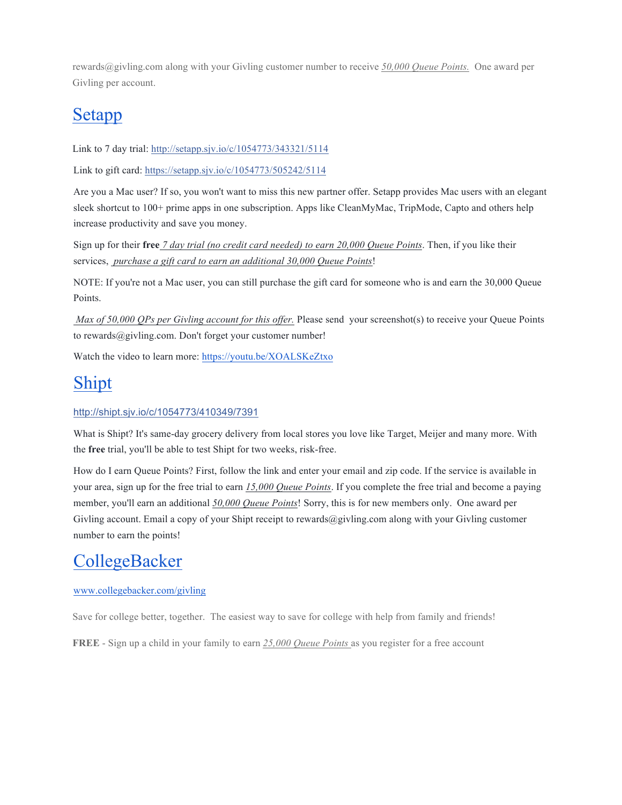rewards@givling.com along with your Givling customer number to receive *50,000 Queue Points.* One award per Givling per account.

# Setapp

Link to 7 day trial: http://setapp.sjv.io/c/1054773/343321/5114

Link to gift card: https://setapp.sjv.io/c/1054773/505242/5114

Are you a Mac user? If so, you won't want to miss this new partner offer. Setapp provides Mac users with an elegant sleek shortcut to 100+ prime apps in one subscription. Apps like CleanMyMac, TripMode, Capto and others help increase productivity and save you money.

Sign up for their **free** *7 day trial (no credit card needed) to earn 20,000 Queue Points*. Then, if you like their services, *purchase a gift card to earn an additional 30,000 Queue Points*!

NOTE: If you're not a Mac user, you can still purchase the gift card for someone who is and earn the 30,000 Queue Points.

*Max of 50,000 QPs per Givling account for this offer.* Please send your screenshot(s) to receive your Queue Points to rewards@givling.com. Don't forget your customer number!

Watch the video to learn more: https://youtu.be/XOALSKeZtxo

## Shipt

#### http://shipt.sjv.io/c/1054773/410349/7391

What is Shipt? It's same-day grocery delivery from local stores you love like Target, Meijer and many more. With the **free** trial, you'll be able to test Shipt for two weeks, risk-free.

How do I earn Queue Points? First, follow the link and enter your email and zip code. If the service is available in your area, sign up for the free trial to earn *15,000 Queue Points*. If you complete the free trial and become a paying member, you'll earn an additional *50,000 Queue Points*! Sorry, this is for new members only. One award per Givling account. Email a copy of your Shipt receipt to rewards@givling.com along with your Givling customer number to earn the points!

### **CollegeBacker**

#### www.collegebacker.com/givling

Save for college better, together. The easiest way to save for college with help from family and friends!

**FREE** - Sign up a child in your family to earn *25,000 Queue Points* as you register for a free account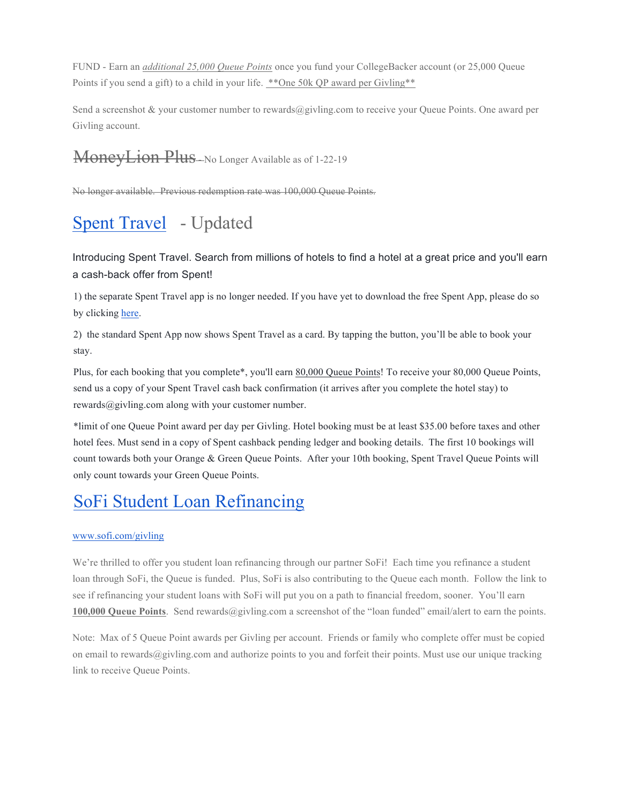FUND - Earn an *additional 25,000 Queue Points* once you fund your CollegeBacker account (or 25,000 Queue Points if you send a gift) to a child in your life. \*\* One 50k QP award per Givling\*\*

Send a screenshot & your customer number to rewards@givling.com to receive your Queue Points. One award per Givling account.

# MoneyLion Plus-No Longer Available as of 1-22-19

No longer available. Previous redemption rate was 100,000 Queue Points.

# Spent Travel - Updated

Introducing Spent Travel. Search from millions of hotels to find a hotel at a great price and you'll earn a cash-back offer from Spent!

1) the separate Spent Travel app is no longer needed. If you have yet to download the free Spent App, please do so by clicking here.

2) the standard Spent App now shows Spent Travel as a card. By tapping the button, you'll be able to book your stay.

Plus, for each booking that you complete\*, you'll earn 80,000 Queue Points! To receive your 80,000 Queue Points, send us a copy of your Spent Travel cash back confirmation (it arrives after you complete the hotel stay) to rewards@givling.com along with your customer number.

\*limit of one Queue Point award per day per Givling. Hotel booking must be at least \$35.00 before taxes and other hotel fees. Must send in a copy of Spent cashback pending ledger and booking details. The first 10 bookings will count towards both your Orange & Green Queue Points. After your 10th booking, Spent Travel Queue Points will only count towards your Green Queue Points.

# SoFi Student Loan Refinancing

#### www.sofi.com/givling

We're thrilled to offer you student loan refinancing through our partner SoFi! Each time you refinance a student loan through SoFi, the Queue is funded. Plus, SoFi is also contributing to the Queue each month. Follow the link to see if refinancing your student loans with SoFi will put you on a path to financial freedom, sooner. You'll earn **100,000 Queue Points**. Send rewards@givling.com a screenshot of the "loan funded" email/alert to earn the points.

Note: Max of 5 Queue Point awards per Givling per account. Friends or family who complete offer must be copied on email to rewards $@givling.com$  and authorize points to you and forfeit their points. Must use our unique tracking link to receive Queue Points.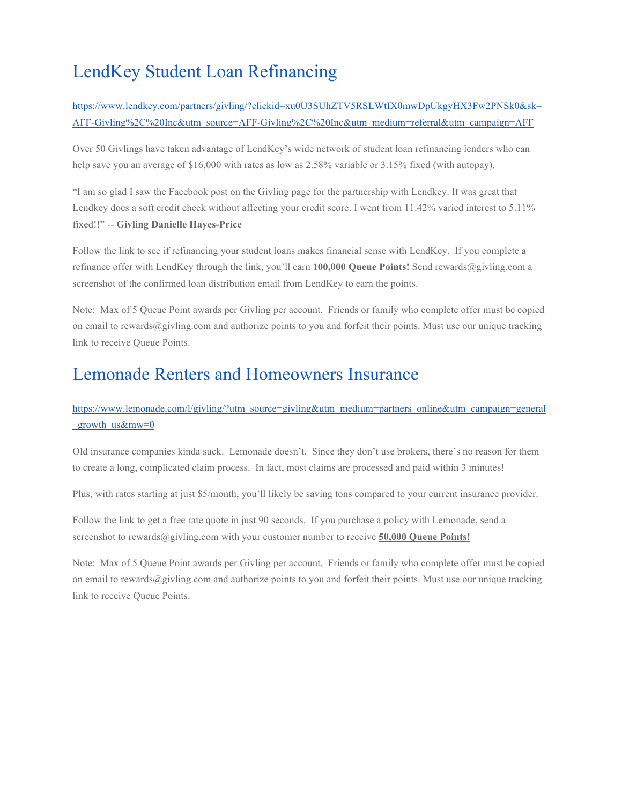# LendKey Student Loan Refinancing

https://www.lendkey.com/partners/givling/?clickid=xu0U3SUhZTV5RSLWtIX0mwDpUkgyHX3Fw2PNSk0&sk= AFF-Givling%2C%20Inc&utm\_source=AFF-Givling%2C%20Inc&utm\_medium=referral&utm\_campaign=AFF

Over 50 Givlings have taken advantage of LendKey's wide network of student loan refinancing lenders who can help save you an average of \$16,000 with rates as low as 2.58% variable or 3.15% fixed (with autopay).

"I am so glad I saw the Facebook post on the Givling page for the partnership with Lendkey. It was great that Lendkey does a soft credit check without affecting your credit score. I went from 11.42% varied interest to 5.11% fixed!!" -- **Givling Danielle Hayes-Price** 

Follow the link to see if refinancing your student loans makes financial sense with LendKey. If you complete a refinance offer with LendKey through the link, you'll earn **100,000 Queue Points!** Send rewards@givling.com a screenshot of the confirmed loan distribution email from LendKey to earn the points.

Note: Max of 5 Queue Point awards per Givling per account. Friends or family who complete offer must be copied on email to rewards@givling.com and authorize points to you and forfeit their points. Must use our unique tracking link to receive Queue Points.

### Lemonade Renters and Homeowners Insurance

https://www.lemonade.com/l/givling/?utm\_source=givling&utm\_medium=partners\_online&utm\_campaign=general growth  $us\&mv=0$ 

Old insurance companies kinda suck. Lemonade doesn't. Since they don't use brokers, there's no reason for them to create a long, complicated claim process. In fact, most claims are processed and paid within 3 minutes!

Plus, with rates starting at just \$5/month, you'll likely be saving tons compared to your current insurance provider.

Follow the link to get a free rate quote in just 90 seconds. If you purchase a policy with Lemonade, send a screenshot to rewards@givling.com with your customer number to receive **50,000 Queue Points!**

Note: Max of 5 Queue Point awards per Givling per account. Friends or family who complete offer must be copied on email to rewards $@givling.com$  and authorize points to you and forfeit their points. Must use our unique tracking link to receive Queue Points.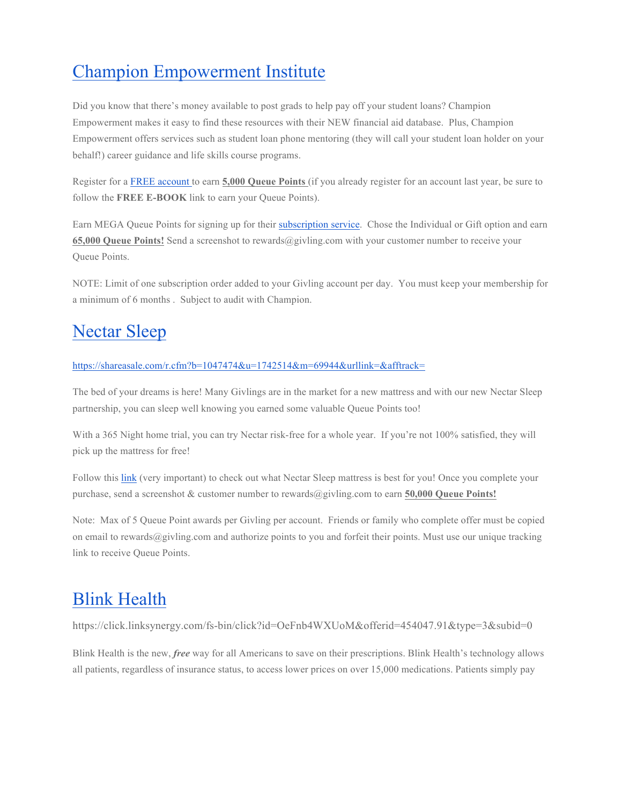# Champion Empowerment Institute

Did you know that there's money available to post grads to help pay off your student loans? Champion Empowerment makes it easy to find these resources with their NEW financial aid database. Plus, Champion Empowerment offers services such as student loan phone mentoring (they will call your student loan holder on your behalf!) career guidance and life skills course programs.

Register for a FREE account to earn **5,000 Queue Points** (if you already register for an account last year, be sure to follow the **FREE E-BOOK** link to earn your Queue Points).

Earn MEGA Queue Points for signing up for their subscription service. Chose the Individual or Gift option and earn **65,000 Queue Points!** Send a screenshot to rewards@givling.com with your customer number to receive your Queue Points.

NOTE: Limit of one subscription order added to your Givling account per day. You must keep your membership for a minimum of 6 months . Subject to audit with Champion.

# Nectar Sleep

#### https://shareasale.com/r.cfm?b=1047474&u=1742514&m=69944&urllink=&afftrack=

The bed of your dreams is here! Many Givlings are in the market for a new mattress and with our new Nectar Sleep partnership, you can sleep well knowing you earned some valuable Queue Points too!

With a 365 Night home trial, you can try Nectar risk-free for a whole year. If you're not 100% satisfied, they will pick up the mattress for free!

Follow this link (very important) to check out what Nectar Sleep mattress is best for you! Once you complete your purchase, send a screenshot & customer number to rewards@givling.com to earn **50,000 Queue Points!** 

Note: Max of 5 Queue Point awards per Givling per account. Friends or family who complete offer must be copied on email to rewards@givling.com and authorize points to you and forfeit their points. Must use our unique tracking link to receive Queue Points.

# Blink Health

https://click.linksynergy.com/fs-bin/click?id=OeFnb4WXUoM&offerid=454047.91&type=3&subid=0

Blink Health is the new, *free* way for all Americans to save on their prescriptions. Blink Health's technology allows all patients, regardless of insurance status, to access lower prices on over 15,000 medications. Patients simply pay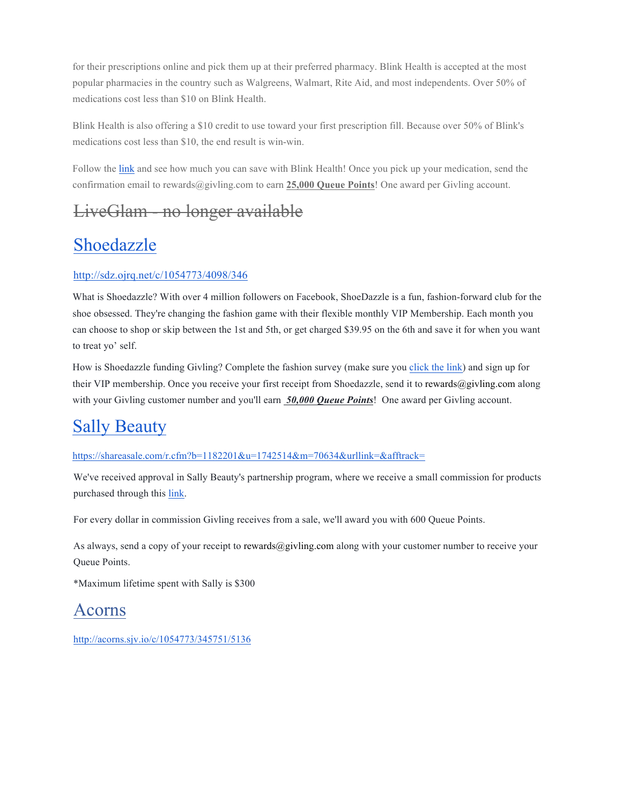for their prescriptions online and pick them up at their preferred pharmacy. Blink Health is accepted at the most popular pharmacies in the country such as Walgreens, Walmart, Rite Aid, and most independents. Over 50% of medications cost less than \$10 on Blink Health.

Blink Health is also offering a \$10 credit to use toward your first prescription fill. Because over 50% of Blink's medications cost less than \$10, the end result is win-win.

Follow the link and see how much you can save with Blink Health! Once you pick up your medication, send the confirmation email to rewards@givling.com to earn **25,000 Queue Points**! One award per Givling account.

## LiveGlam - no longer available

# Shoedazzle

#### http://sdz.ojrq.net/c/1054773/4098/346

What is Shoedazzle? With over 4 million followers on Facebook, ShoeDazzle is a fun, fashion-forward club for the shoe obsessed. They're changing the fashion game with their flexible monthly VIP Membership. Each month you can choose to shop or skip between the 1st and 5th, or get charged \$39.95 on the 6th and save it for when you want to treat yo' self.

How is Shoedazzle funding Givling? Complete the fashion survey (make sure you click the link) and sign up for their VIP membership. Once you receive your first receipt from Shoedazzle, send it to rewards@givling.com along with your Givling customer number and you'll earn **50,000 Queue Points**! One award per Givling account.

## Sally Beauty

#### https://shareasale.com/r.cfm?b=1182201&u=1742514&m=70634&urllink=&afftrack=

We've received approval in Sally Beauty's partnership program, where we receive a small commission for products purchased through this link.

For every dollar in commission Givling receives from a sale, we'll award you with 600 Queue Points.

As always, send a copy of your receipt to rewards@givling.com along with your customer number to receive your Queue Points.

\*Maximum lifetime spent with Sally is \$300

### Acorns

http://acorns.sjv.io/c/1054773/345751/5136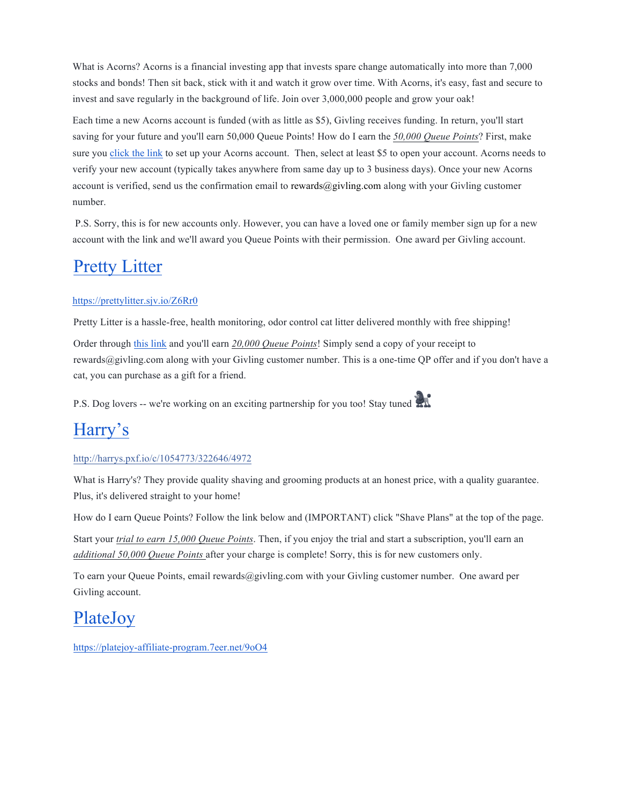What is Acorns? Acorns is a financial investing app that invests spare change automatically into more than 7,000 stocks and bonds! Then sit back, stick with it and watch it grow over time. With Acorns, it's easy, fast and secure to invest and save regularly in the background of life. Join over 3,000,000 people and grow your oak!

Each time a new Acorns account is funded (with as little as \$5), Givling receives funding. In return, you'll start saving for your future and you'll earn 50,000 Queue Points! How do I earn the *50,000 Queue Points*? First, make sure you click the link to set up your Acorns account. Then, select at least \$5 to open your account. Acorns needs to verify your new account (typically takes anywhere from same day up to 3 business days). Once your new Acorns account is verified, send us the confirmation email to rewards@givling.com along with your Givling customer number.

P.S. Sorry, this is for new accounts only. However, you can have a loved one or family member sign up for a new account with the link and we'll award you Queue Points with their permission. One award per Givling account.

## Pretty Litter

#### https://prettylitter.sjv.io/Z6Rr0

Pretty Litter is a hassle-free, health monitoring, odor control cat litter delivered monthly with free shipping!

Order through this link and you'll earn *20,000 Queue Points*! Simply send a copy of your receipt to rewards@givling.com along with your Givling customer number. This is a one-time QP offer and if you don't have a cat, you can purchase as a gift for a friend.

P.S. Dog lovers -- we're working on an exciting partnership for you too! Stay tuned

### Harry's

#### http://harrys.pxf.io/c/1054773/322646/4972

What is Harry's? They provide quality shaving and grooming products at an honest price, with a quality guarantee. Plus, it's delivered straight to your home!

How do I earn Queue Points? Follow the link below and (IMPORTANT) click "Shave Plans" at the top of the page.

Start your *trial to earn 15,000 Queue Points*. Then, if you enjoy the trial and start a subscription, you'll earn an *additional 50,000 Queue Points* after your charge is complete! Sorry, this is for new customers only.

To earn your Queue Points, email rewards@givling.com with your Givling customer number. One award per Givling account.

### PlateJoy

https://platejoy-affiliate-program.7eer.net/9oO4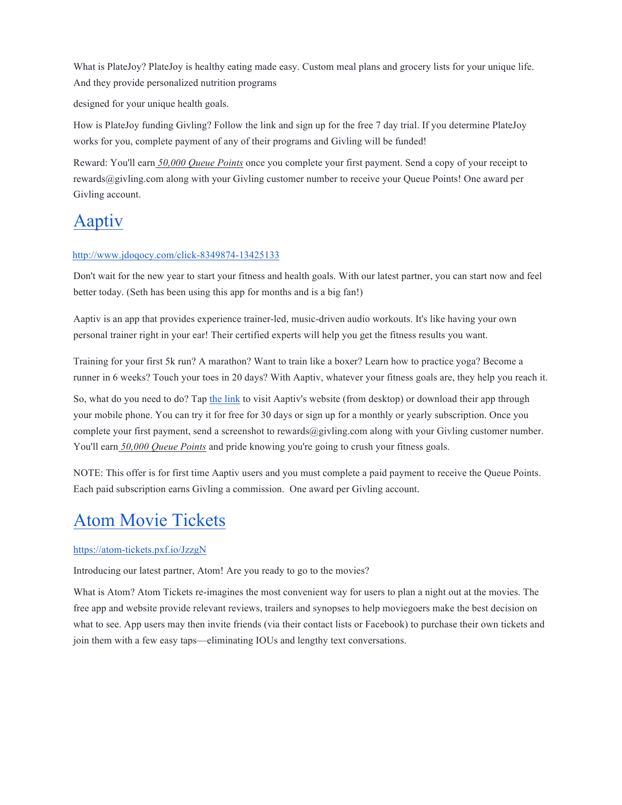What is PlateJoy? PlateJoy is healthy eating made easy. Custom meal plans and grocery lists for your unique life. And they provide personalized nutrition programs

designed for your unique health goals.

How is PlateJoy funding Givling? Follow the link and sign up for the free 7 day trial. If you determine PlateJoy works for you, complete payment of any of their programs and Givling will be funded!

Reward: You'll earn *50,000 Queue Points* once you complete your first payment. Send a copy of your receipt to rewards@givling.com along with your Givling customer number to receive your Queue Points! One award per Givling account.

## Aaptiv

#### http://www.jdoqocy.com/click-8349874-13425133

Don't wait for the new year to start your fitness and health goals. With our latest partner, you can start now and feel better today. (Seth has been using this app for months and is a big fan!)

Aaptiv is an app that provides experience trainer-led, music-driven audio workouts. It's like having your own personal trainer right in your ear! Their certified experts will help you get the fitness results you want.

Training for your first 5k run? A marathon? Want to train like a boxer? Learn how to practice yoga? Become a runner in 6 weeks? Touch your toes in 20 days? With Aaptiv, whatever your fitness goals are, they help you reach it.

So, what do you need to do? Tap the link to visit Aaptiv's website (from desktop) or download their app through your mobile phone. You can try it for free for 30 days or sign up for a monthly or yearly subscription. Once you complete your first payment, send a screenshot to rewards@givling.com along with your Givling customer number. You'll earn 50,000 Queue Points and pride knowing you're going to crush your fitness goals.

NOTE: This offer is for first time Aaptiv users and you must complete a paid payment to receive the Queue Points. Each paid subscription earns Givling a commission. One award per Givling account.

### Atom Movie Tickets

https://atom-tickets.pxf.io/JzzgN

Introducing our latest partner, Atom! Are you ready to go to the movies?

What is Atom? Atom Tickets re-imagines the most convenient way for users to plan a night out at the movies. The free app and website provide relevant reviews, trailers and synopses to help moviegoers make the best decision on what to see. App users may then invite friends (via their contact lists or Facebook) to purchase their own tickets and join them with a few easy taps—eliminating IOUs and lengthy text conversations.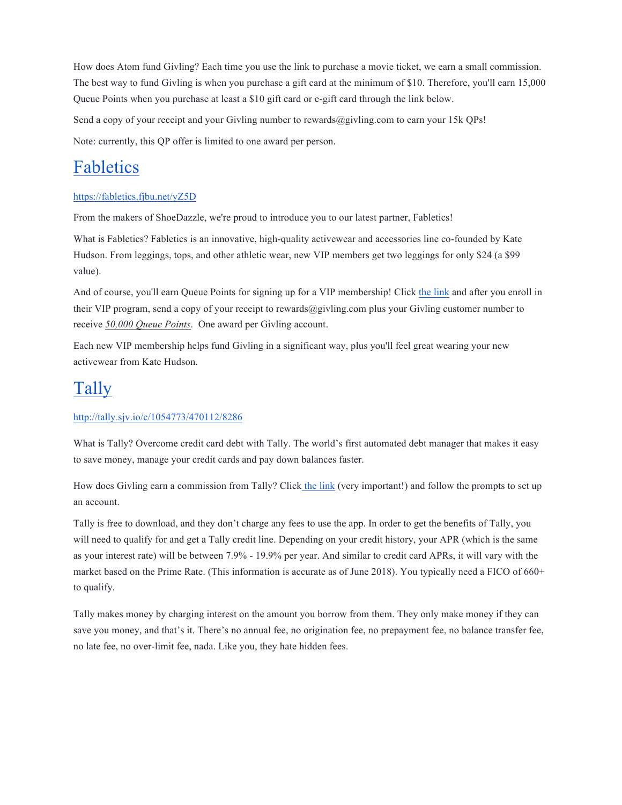How does Atom fund Givling? Each time you use the link to purchase a movie ticket, we earn a small commission. The best way to fund Givling is when you purchase a gift card at the minimum of \$10. Therefore, you'll earn 15,000 Queue Points when you purchase at least a \$10 gift card or e-gift card through the link below.

Send a copy of your receipt and your Givling number to rewards@givling.com to earn your 15k QPs!

Note: currently, this QP offer is limited to one award per person.

## Fabletics

#### https://fabletics.fjbu.net/yZ5D

From the makers of ShoeDazzle, we're proud to introduce you to our latest partner, Fabletics!

What is Fabletics? Fabletics is an innovative, high-quality activewear and accessories line co-founded by Kate Hudson. From leggings, tops, and other athletic wear, new VIP members get two leggings for only \$24 (a \$99 value).

And of course, you'll earn Queue Points for signing up for a VIP membership! Click the link and after you enroll in their VIP program, send a copy of your receipt to rewards@givling.com plus your Givling customer number to receive *50,000 Queue Points*. One award per Givling account.

Each new VIP membership helps fund Givling in a significant way, plus you'll feel great wearing your new activewear from Kate Hudson.

# Tally

#### http://tally.sjv.io/c/1054773/470112/8286

What is Tally? Overcome credit card debt with Tally. The world's first automated debt manager that makes it easy to save money, manage your credit cards and pay down balances faster.

How does Givling earn a commission from Tally? Click the link (very important!) and follow the prompts to set up an account.

Tally is free to download, and they don't charge any fees to use the app. In order to get the benefits of Tally, you will need to qualify for and get a Tally credit line. Depending on your credit history, your APR (which is the same as your interest rate) will be between 7.9% - 19.9% per year. And similar to credit card APRs, it will vary with the market based on the Prime Rate. (This information is accurate as of June 2018). You typically need a FICO of 660+ to qualify.

Tally makes money by charging interest on the amount you borrow from them. They only make money if they can save you money, and that's it. There's no annual fee, no origination fee, no prepayment fee, no balance transfer fee, no late fee, no over-limit fee, nada. Like you, they hate hidden fees.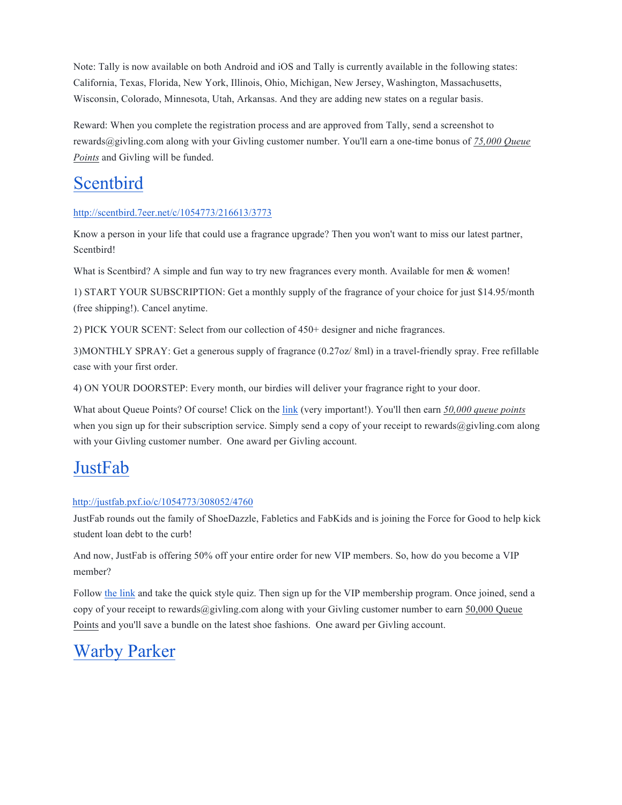Note: Tally is now available on both Android and iOS and Tally is currently available in the following states: California, Texas, Florida, New York, Illinois, Ohio, Michigan, New Jersey, Washington, Massachusetts, Wisconsin, Colorado, Minnesota, Utah, Arkansas. And they are adding new states on a regular basis.

Reward: When you complete the registration process and are approved from Tally, send a screenshot to rewards@givling.com along with your Givling customer number. You'll earn a one-time bonus of *75,000 Queue Points* and Givling will be funded.

## Scentbird

#### http://scentbird.7eer.net/c/1054773/216613/3773

Know a person in your life that could use a fragrance upgrade? Then you won't want to miss our latest partner, Scentbird!

What is Scentbird? A simple and fun way to try new fragrances every month. Available for men & women!

1) START YOUR SUBSCRIPTION: Get a monthly supply of the fragrance of your choice for just \$14.95/month (free shipping!). Cancel anytime.

2) PICK YOUR SCENT: Select from our collection of 450+ designer and niche fragrances.

3)MONTHLY SPRAY: Get a generous supply of fragrance (0.27oz/ 8ml) in a travel-friendly spray. Free refillable case with your first order.

4) ON YOUR DOORSTEP: Every month, our birdies will deliver your fragrance right to your door.

What about Queue Points? Of course! Click on the link (very important!). You'll then earn *50,000 queue points* when you sign up for their subscription service. Simply send a copy of your receipt to rewards@givling.com along with your Givling customer number. One award per Givling account.

### **JustFab**

#### http://justfab.pxf.io/c/1054773/308052/4760

JustFab rounds out the family of ShoeDazzle, Fabletics and FabKids and is joining the Force for Good to help kick student loan debt to the curb!

And now, JustFab is offering 50% off your entire order for new VIP members. So, how do you become a VIP member?

Follow the link and take the quick style quiz. Then sign up for the VIP membership program. Once joined, send a copy of your receipt to rewards@givling.com along with your Givling customer number to earn 50,000 Queue Points and you'll save a bundle on the latest shoe fashions. One award per Givling account.

# Warby Parker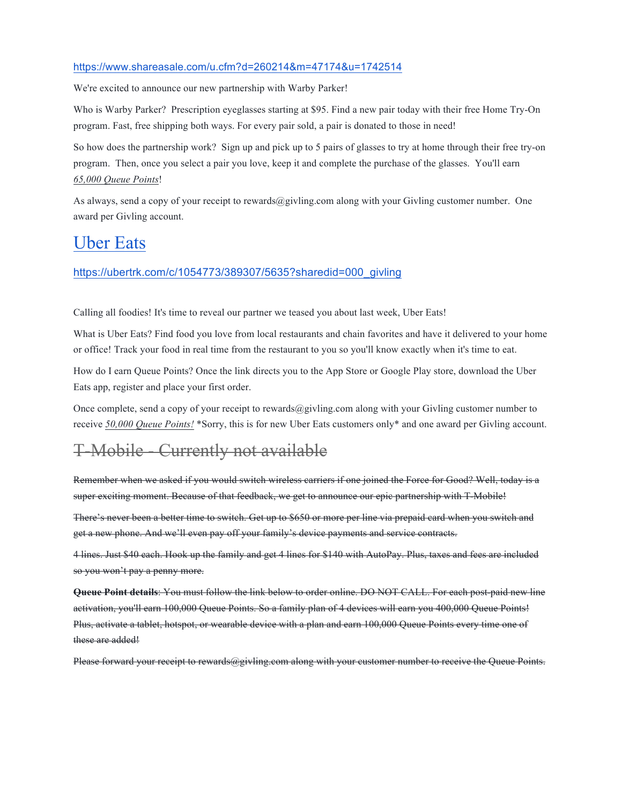#### https://www.shareasale.com/u.cfm?d=260214&m=47174&u=1742514

We're excited to announce our new partnership with Warby Parker!

Who is Warby Parker? Prescription eyeglasses starting at \$95. Find a new pair today with their free Home Try-On program. Fast, free shipping both ways. For every pair sold, a pair is donated to those in need!

So how does the partnership work? Sign up and pick up to 5 pairs of glasses to try at home through their free try-on program. Then, once you select a pair you love, keep it and complete the purchase of the glasses. You'll earn *65,000 Queue Points*!

As always, send a copy of your receipt to rewards@givling.com along with your Givling customer number. One award per Givling account.

#### Uber Eats

#### https://ubertrk.com/c/1054773/389307/5635?sharedid=000\_givling

Calling all foodies! It's time to reveal our partner we teased you about last week, Uber Eats!

What is Uber Eats? Find food you love from local restaurants and chain favorites and have it delivered to your home or office! Track your food in real time from the restaurant to you so you'll know exactly when it's time to eat.

How do I earn Queue Points? Once the link directs you to the App Store or Google Play store, download the Uber Eats app, register and place your first order.

Once complete, send a copy of your receipt to rewards@givling.com along with your Givling customer number to receive *50,000 Queue Points!* \*Sorry, this is for new Uber Eats customers only\* and one award per Givling account.

### T-Mobile - Currently not available

Remember when we asked if you would switch wireless carriers if one joined the Force for Good? Well, today is a super exciting moment. Because of that feedback, we get to announce our epic partnership with T-Mobile!

There's never been a better time to switch. Get up to \$650 or more per line via prepaid card when you switch and get a new phone. And we'll even pay off your family's device payments and service contracts.

4 lines. Just \$40 each. Hook up the family and get 4 lines for \$140 with AutoPay. Plus, taxes and fees are included so you won't pay a penny more.

**Queue Point details**: You must follow the link below to order online. DO NOT CALL. For each post-paid new line activation, you'll earn 100,000 Queue Points. So a family plan of 4 devices will earn you 400,000 Queue Points! Plus, activate a tablet, hotspot, or wearable device with a plan and earn 100,000 Queue Points every time one of these are added!

Please forward your receipt to rewards@givling.com along with your customer number to receive the Queue Points.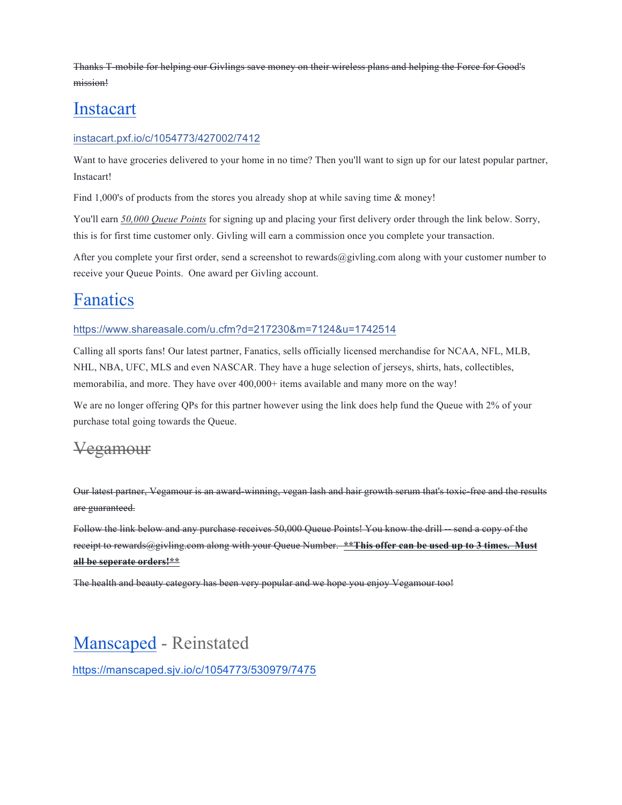Thanks T-mobile for helping our Givlings save money on their wireless plans and helping the Force for Good's mission!

### Instacart

#### instacart.pxf.io/c/1054773/427002/7412

Want to have groceries delivered to your home in no time? Then you'll want to sign up for our latest popular partner, Instacart!

Find 1,000's of products from the stores you already shop at while saving time & money!

You'll earn *50,000 Queue Points* for signing up and placing your first delivery order through the link below. Sorry, this is for first time customer only. Givling will earn a commission once you complete your transaction.

After you complete your first order, send a screenshot to rewards@givling.com along with your customer number to receive your Queue Points. One award per Givling account.

### Fanatics

#### https://www.shareasale.com/u.cfm?d=217230&m=7124&u=1742514

Calling all sports fans! Our latest partner, Fanatics, sells officially licensed merchandise for NCAA, NFL, MLB, NHL, NBA, UFC, MLS and even NASCAR. They have a huge selection of jerseys, shirts, hats, collectibles, memorabilia, and more. They have over 400,000+ items available and many more on the way!

We are no longer offering QPs for this partner however using the link does help fund the Queue with 2% of your purchase total going towards the Queue.

#### Vegamour

Our latest partner, Vegamour is an award-winning, vegan lash and hair growth serum that's toxic-free and the results are guaranteed.

Follow the link below and any purchase receives 50,000 Queue Points! You know the drill -- send a copy of the receipt to rewards@givling.com along with your Queue Number. **\*\*This offer can be used up to 3 times. Must all be seperate orders!\*\***

The health and beauty category has been very popular and we hope you enjoy Vegamour too!

### Manscaped - Reinstated

https://manscaped.sjv.io/c/1054773/530979/7475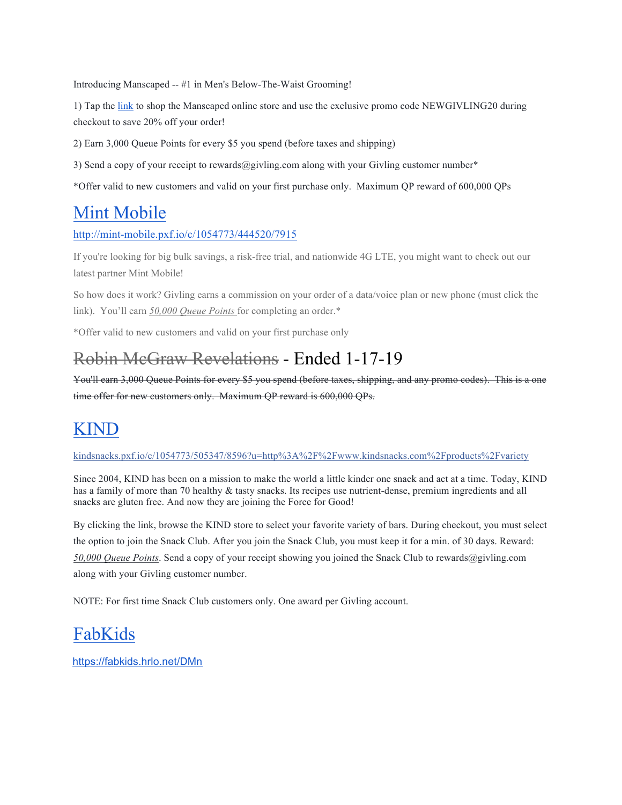Introducing Manscaped -- #1 in Men's Below-The-Waist Grooming!

1) Tap the link to shop the Manscaped online store and use the exclusive promo code NEWGIVLING20 during checkout to save 20% off your order!

2) Earn 3,000 Queue Points for every \$5 you spend (before taxes and shipping)

3) Send a copy of your receipt to rewards@givling.com along with your Givling customer number\*

\*Offer valid to new customers and valid on your first purchase only. Maximum QP reward of 600,000 QPs

## Mint Mobile

http://mint-mobile.pxf.io/c/1054773/444520/7915

If you're looking for big bulk savings, a risk-free trial, and nationwide 4G LTE, you might want to check out our latest partner Mint Mobile!

So how does it work? Givling earns a commission on your order of a data/voice plan or new phone (must click the link). You'll earn *50,000 Queue Points* for completing an order.\*

\*Offer valid to new customers and valid on your first purchase only

## Robin McGraw Revelations - Ended 1-17-19

You'll earn 3,000 Queue Points for every \$5 you spend (before taxes, shipping, and any promo codes). This is a one time offer for new customers only. Maximum QP reward is 600,000 QPs.

## KIND

kindsnacks.pxf.io/c/1054773/505347/8596?u=http%3A%2F%2Fwww.kindsnacks.com%2Fproducts%2Fvariety

Since 2004, KIND has been on a mission to make the world a little kinder one snack and act at a time. Today, KIND has a family of more than 70 healthy & tasty snacks. Its recipes use nutrient-dense, premium ingredients and all snacks are gluten free. And now they are joining the Force for Good!

By clicking the link, browse the KIND store to select your favorite variety of bars. During checkout, you must select the option to join the Snack Club. After you join the Snack Club, you must keep it for a min. of 30 days. Reward: *50,000 Queue Points*. Send a copy of your receipt showing you joined the Snack Club to rewards@givling.com along with your Givling customer number.

NOTE: For first time Snack Club customers only. One award per Givling account.

# FabKids

https://fabkids.hrlo.net/DMn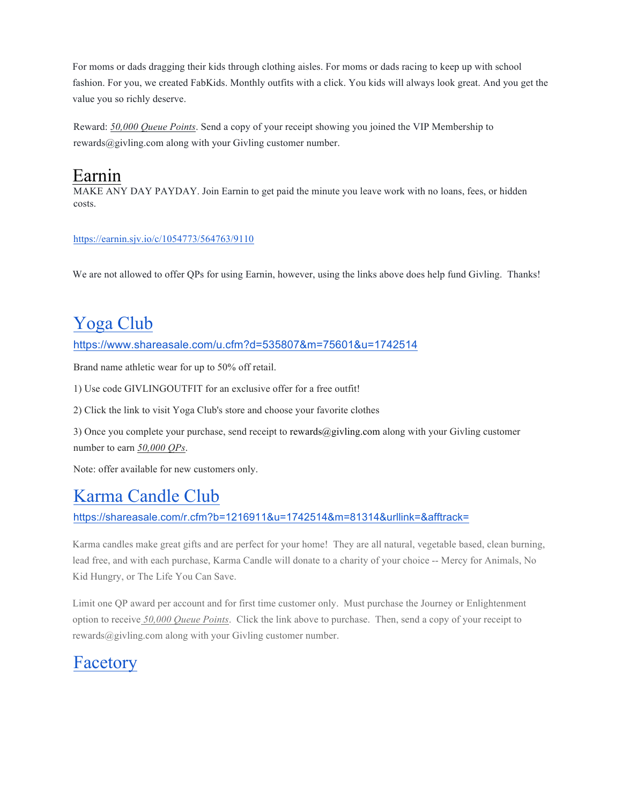For moms or dads dragging their kids through clothing aisles. For moms or dads racing to keep up with school fashion. For you, we created FabKids. Monthly outfits with a click. You kids will always look great. And you get the value you so richly deserve.

Reward: *50,000 Queue Points*. Send a copy of your receipt showing you joined the VIP Membership to rewards@givling.com along with your Givling customer number.

## Earnin

MAKE ANY DAY PAYDAY. Join Earnin to get paid the minute you leave work with no loans, fees, or hidden costs.

#### https://earnin.sjv.io/c/1054773/564763/9110

We are not allowed to offer QPs for using Earnin, however, using the links above does help fund Givling. Thanks!

# Yoga Club

#### https://www.shareasale.com/u.cfm?d=535807&m=75601&u=1742514

Brand name athletic wear for up to 50% off retail.

1) Use code GIVLINGOUTFIT for an exclusive offer for a free outfit!

2) Click the link to visit Yoga Club's store and choose your favorite clothes

3) Once you complete your purchase, send receipt to rewards@givling.com along with your Givling customer number to earn *50,000 QPs*.

Note: offer available for new customers only.

## Karma Candle Club

https://shareasale.com/r.cfm?b=1216911&u=1742514&m=81314&urllink=&afftrack=

Karma candles make great gifts and are perfect for your home! They are all natural, vegetable based, clean burning, lead free, and with each purchase, Karma Candle will donate to a charity of your choice -- Mercy for Animals, No Kid Hungry, or The Life You Can Save.

Limit one QP award per account and for first time customer only. Must purchase the Journey or Enlightenment option to receive *50,000 Queue Points*. Click the link above to purchase. Then, send a copy of your receipt to rewards@givling.com along with your Givling customer number.

### Facetory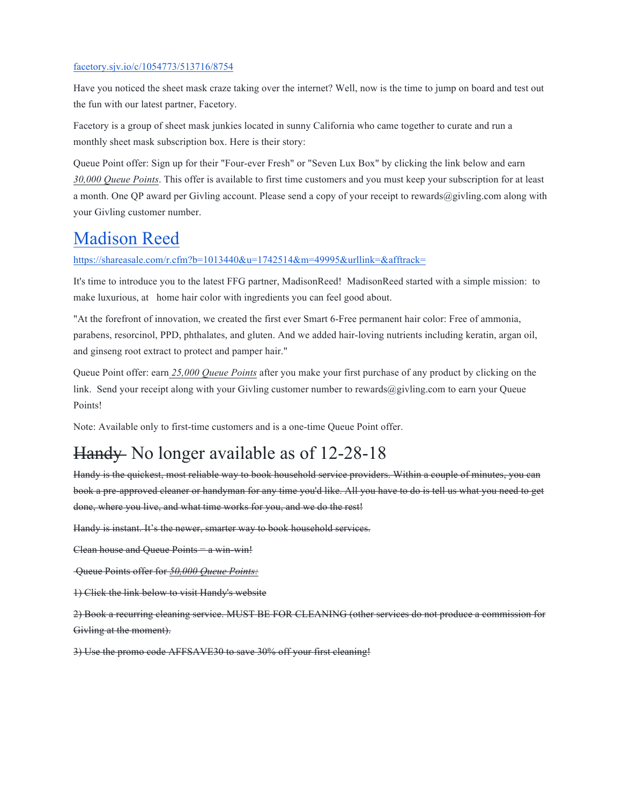#### facetory.sjv.io/c/1054773/513716/8754

Have you noticed the sheet mask craze taking over the internet? Well, now is the time to jump on board and test out the fun with our latest partner, Facetory.

Facetory is a group of sheet mask junkies located in sunny California who came together to curate and run a monthly sheet mask subscription box. Here is their story:

Queue Point offer: Sign up for their "Four-ever Fresh" or "Seven Lux Box" by clicking the link below and earn *30,000 Queue Points*. This offer is available to first time customers and you must keep your subscription for at least a month. One QP award per Givling account. Please send a copy of your receipt to rewards@givling.com along with your Givling customer number.

### Madison Reed

https://shareasale.com/r.cfm?b=1013440&u=1742514&m=49995&urllink=&afftrack=

It's time to introduce you to the latest FFG partner, MadisonReed! MadisonReed started with a simple mission: to make luxurious, at home hair color with ingredients you can feel good about.

"At the forefront of innovation, we created the first ever Smart 6-Free permanent hair color: Free of ammonia, parabens, resorcinol, PPD, phthalates, and gluten. And we added hair-loving nutrients including keratin, argan oil, and ginseng root extract to protect and pamper hair."

Queue Point offer: earn *25,000 Queue Points* after you make your first purchase of any product by clicking on the link. Send your receipt along with your Givling customer number to rewards $@giving.com$  to earn your Queue Points!

Note: Available only to first-time customers and is a one-time Queue Point offer.

# Handy No longer available as of 12-28-18

Handy is the quickest, most reliable way to book household service providers. Within a couple of minutes, you can book a pre-approved cleaner or handyman for any time you'd like. All you have to do is tell us what you need to get done, where you live, and what time works for you, and we do the rest!

Handy is instant. It's the newer, smarter way to book household services.

Clean house and Oueue Points = a win-win!

Queue Points offer for *50,000 Queue Points:*

1) Click the link below to visit Handy's website

2) Book a recurring cleaning service. MUST BE FOR CLEANING (other services do not produce a commission for Givling at the moment).

3) Use the promo code AFFSAVE30 to save 30% off your first cleaning!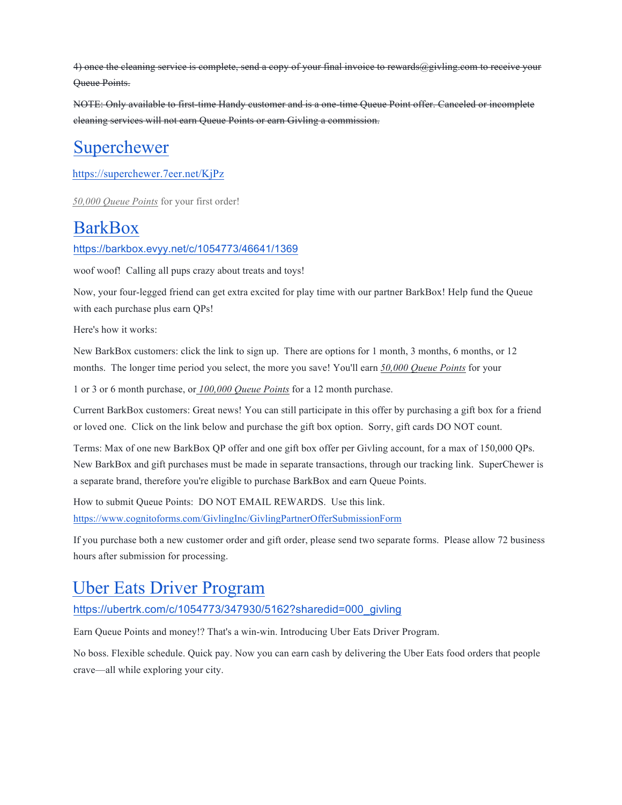4) once the cleaning service is complete, send a copy of your final invoice to rewards@givling.com to receive your Queue Points.

NOTE: Only available to first-time Handy customer and is a one-time Queue Point offer. Canceled or incomplete cleaning services will not earn Queue Points or earn Givling a commission.

## Superchewer

https://superchewer.7eer.net/KjPz

*50,000 Queue Points* for your first order!

### **BarkBox**

https://barkbox.evyy.net/c/1054773/46641/1369

woof woof! Calling all pups crazy about treats and toys!

Now, your four-legged friend can get extra excited for play time with our partner BarkBox! Help fund the Queue with each purchase plus earn QPs!

Here's how it works:

New BarkBox customers: click the link to sign up. There are options for 1 month, 3 months, 6 months, or 12 months. The longer time period you select, the more you save! You'll earn *50,000 Queue Points* for your

1 or 3 or 6 month purchase, or *100,000 Queue Points* for a 12 month purchase.

Current BarkBox customers: Great news! You can still participate in this offer by purchasing a gift box for a friend or loved one. Click on the link below and purchase the gift box option. Sorry, gift cards DO NOT count.

Terms: Max of one new BarkBox QP offer and one gift box offer per Givling account, for a max of 150,000 QPs. New BarkBox and gift purchases must be made in separate transactions, through our tracking link. SuperChewer is a separate brand, therefore you're eligible to purchase BarkBox and earn Queue Points.

How to submit Queue Points: DO NOT EMAIL REWARDS. Use this link. https://www.cognitoforms.com/GivlingInc/GivlingPartnerOfferSubmissionForm

If you purchase both a new customer order and gift order, please send two separate forms. Please allow 72 business hours after submission for processing.

### Uber Eats Driver Program

https://ubertrk.com/c/1054773/347930/5162?sharedid=000\_givling

Earn Queue Points and money!? That's a win-win. Introducing Uber Eats Driver Program.

No boss. Flexible schedule. Quick pay. Now you can earn cash by delivering the Uber Eats food orders that people crave—all while exploring your city.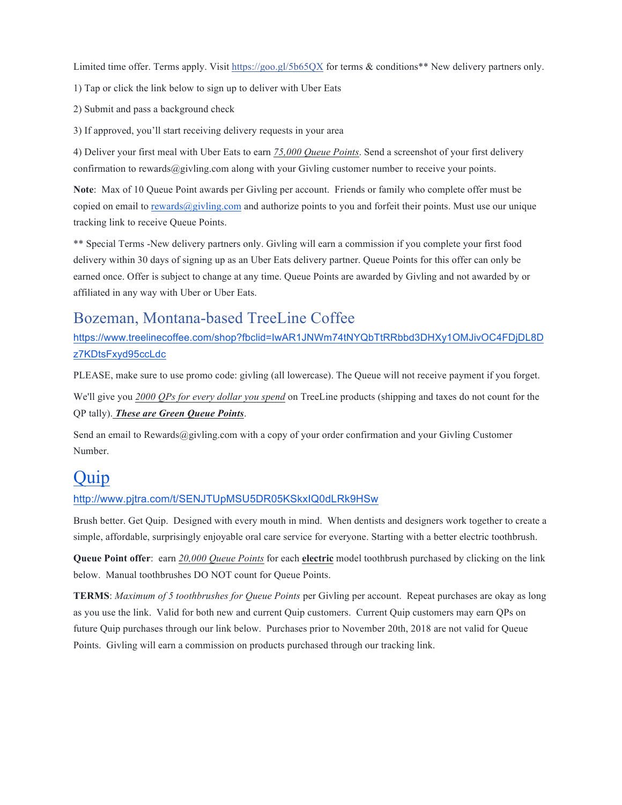Limited time offer. Terms apply. Visit https://goo.gl/5b65QX for terms & conditions\*\* New delivery partners only.

1) Tap or click the link below to sign up to deliver with Uber Eats

2) Submit and pass a background check

3) If approved, you'll start receiving delivery requests in your area

4) Deliver your first meal with Uber Eats to earn *75,000 Queue Points*. Send a screenshot of your first delivery confirmation to rewards@givling.com along with your Givling customer number to receive your points.

**Note**: Max of 10 Queue Point awards per Givling per account. Friends or family who complete offer must be copied on email to rewards@givling.com and authorize points to you and forfeit their points. Must use our unique tracking link to receive Queue Points.

\*\* Special Terms -New delivery partners only. Givling will earn a commission if you complete your first food delivery within 30 days of signing up as an Uber Eats delivery partner. Queue Points for this offer can only be earned once. Offer is subject to change at any time. Queue Points are awarded by Givling and not awarded by or affiliated in any way with Uber or Uber Eats.

#### Bozeman, Montana-based TreeLine Coffee

https://www.treelinecoffee.com/shop?fbclid=IwAR1JNWm74tNYQbTtRRbbd3DHXy1OMJivOC4FDjDL8D z7KDtsFxyd95ccLdc

PLEASE, make sure to use promo code: givling (all lowercase). The Queue will not receive payment if you forget.

We'll give you *2000 QPs for every dollar you spend* on TreeLine products (shipping and taxes do not count for the QP tally). *These are Green Queue Points*.

Send an email to Rewards@givling.com with a copy of your order confirmation and your Givling Customer Number.

### Quip

#### http://www.pjtra.com/t/SENJTUpMSU5DR05KSkxIQ0dLRk9HSw

Brush better. Get Quip. Designed with every mouth in mind. When dentists and designers work together to create a simple, affordable, surprisingly enjoyable oral care service for everyone. Starting with a better electric toothbrush.

**Queue Point offer**: earn *20,000 Queue Points* for each **electric** model toothbrush purchased by clicking on the link below. Manual toothbrushes DO NOT count for Queue Points.

**TERMS**: *Maximum of 5 toothbrushes for Queue Points* per Givling per account. Repeat purchases are okay as long as you use the link. Valid for both new and current Quip customers. Current Quip customers may earn QPs on future Quip purchases through our link below. Purchases prior to November 20th, 2018 are not valid for Queue Points. Givling will earn a commission on products purchased through our tracking link.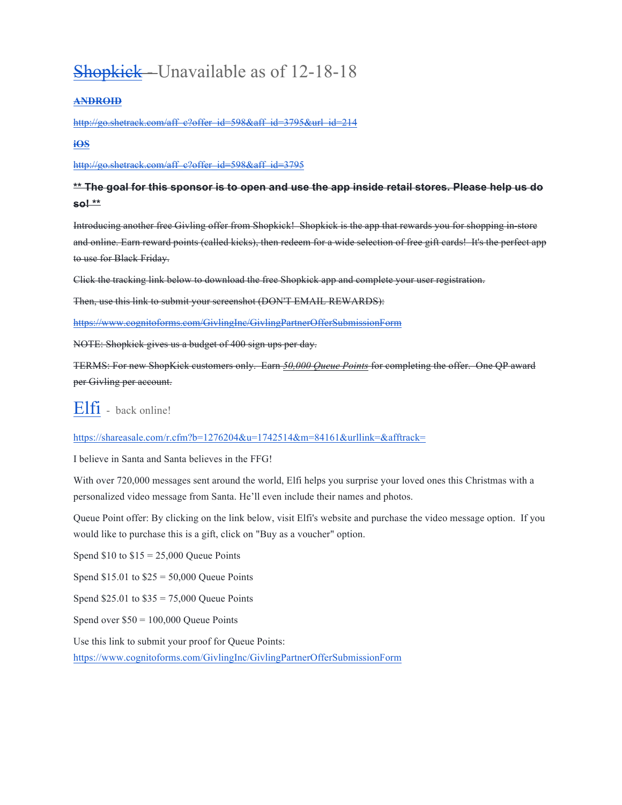# Shopkick - Unavailable as of 12-18-18

#### **ANDROID**

http://go.shetrack.com/aff\_c?offer\_id=598&aff\_id=3795&url\_id=214

#### **iOS**

http://go.shetrack.com/aff\_c?offer\_id=598&aff\_id=3795

#### **\*\* The goal for this sponsor is to open and use the app inside retail stores. Please help us do so! \*\***

Introducing another free Givling offer from Shopkick! Shopkick is the app that rewards you for shopping in-store and online. Earn reward points (called kicks), then redeem for a wide selection of free gift cards! It's the perfect app to use for Black Friday.

Click the tracking link below to download the free Shopkick app and complete your user registration.

Then, use this link to submit your screenshot (DON'T EMAIL REWARDS):

https://www.cognitoforms.com/GivlingInc/GivlingPartnerOfferSubmissionForm

NOTE: Shopkick gives us a budget of 400 sign ups per day.

TERMS: For new ShopKick customers only. Earn *50,000 Queue Points* for completing the offer. One QP award per Givling per account.

#### Elfi - back online!

https://shareasale.com/r.cfm?b=1276204&u=1742514&m=84161&urllink=&afftrack=

I believe in Santa and Santa believes in the FFG!

With over 720,000 messages sent around the world, Elfi helps you surprise your loved ones this Christmas with a personalized video message from Santa. He'll even include their names and photos.

Queue Point offer: By clicking on the link below, visit Elfi's website and purchase the video message option. If you would like to purchase this is a gift, click on "Buy as a voucher" option.

Spend  $$10$  to  $$15 = 25,000$  Oueue Points

Spend  $$15.01$  to  $$25 = 50,000$  Queue Points

Spend \$25.01 to \$35 = 75,000 Queue Points

Spend over  $$50 = 100,000$  Queue Points

Use this link to submit your proof for Queue Points:

https://www.cognitoforms.com/GivlingInc/GivlingPartnerOfferSubmissionForm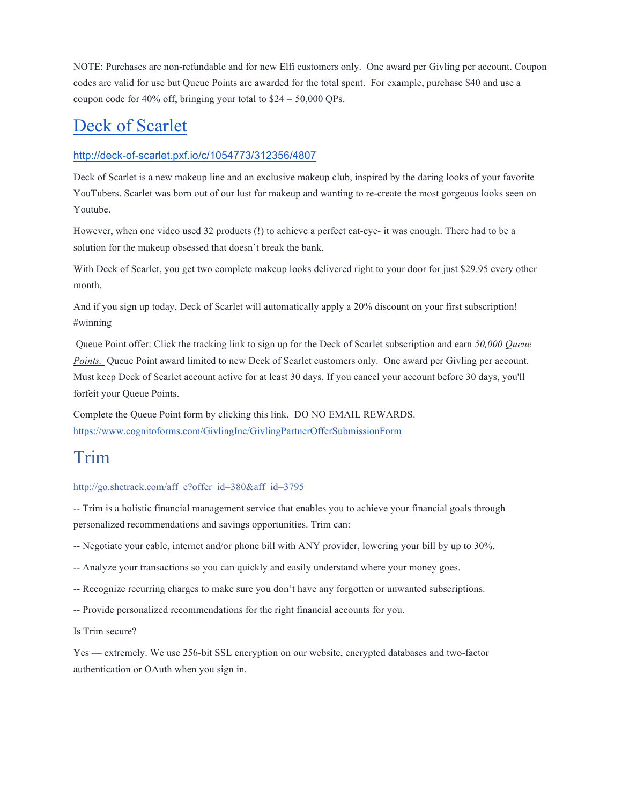NOTE: Purchases are non-refundable and for new Elfi customers only. One award per Givling per account. Coupon codes are valid for use but Queue Points are awarded for the total spent. For example, purchase \$40 and use a coupon code for 40% off, bringing your total to  $$24 = 50,000$  QPs.

### Deck of Scarlet

#### http://deck-of-scarlet.pxf.io/c/1054773/312356/4807

Deck of Scarlet is a new makeup line and an exclusive makeup club, inspired by the daring looks of your favorite YouTubers. Scarlet was born out of our lust for makeup and wanting to re-create the most gorgeous looks seen on Youtube.

However, when one video used 32 products (!) to achieve a perfect cat-eye- it was enough. There had to be a solution for the makeup obsessed that doesn't break the bank.

With Deck of Scarlet, you get two complete makeup looks delivered right to your door for just \$29.95 every other month.

And if you sign up today, Deck of Scarlet will automatically apply a 20% discount on your first subscription! #winning

Queue Point offer: Click the tracking link to sign up for the Deck of Scarlet subscription and earn *50,000 Queue Points.* Queue Point award limited to new Deck of Scarlet customers only. One award per Givling per account. Must keep Deck of Scarlet account active for at least 30 days. If you cancel your account before 30 days, you'll forfeit your Queue Points.

Complete the Queue Point form by clicking this link. DO NO EMAIL REWARDS. https://www.cognitoforms.com/GivlingInc/GivlingPartnerOfferSubmissionForm

### Trim

#### http://go.shetrack.com/aff\_c?offer\_id=380&aff\_id=3795

-- Trim is a holistic financial management service that enables you to achieve your financial goals through personalized recommendations and savings opportunities. Trim can:

-- Negotiate your cable, internet and/or phone bill with ANY provider, lowering your bill by up to 30%.

-- Analyze your transactions so you can quickly and easily understand where your money goes.

-- Recognize recurring charges to make sure you don't have any forgotten or unwanted subscriptions.

-- Provide personalized recommendations for the right financial accounts for you.

Is Trim secure?

Yes — extremely. We use 256-bit SSL encryption on our website, encrypted databases and two-factor authentication or OAuth when you sign in.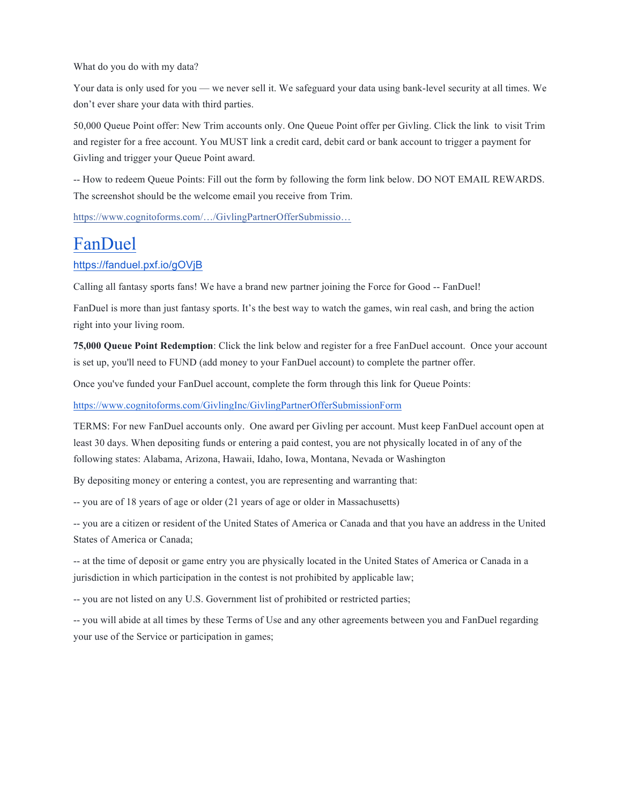What do you do with my data?

Your data is only used for you — we never sell it. We safeguard your data using bank-level security at all times. We don't ever share your data with third parties.

50,000 Queue Point offer: New Trim accounts only. One Queue Point offer per Givling. Click the link to visit Trim and register for a free account. You MUST link a credit card, debit card or bank account to trigger a payment for Givling and trigger your Queue Point award.

-- How to redeem Queue Points: Fill out the form by following the form link below. DO NOT EMAIL REWARDS. The screenshot should be the welcome email you receive from Trim.

https://www.cognitoforms.com/…/GivlingPartnerOfferSubmissio…

### FanDuel

#### https://fanduel.pxf.io/gOVjB

Calling all fantasy sports fans! We have a brand new partner joining the Force for Good -- FanDuel!

FanDuel is more than just fantasy sports. It's the best way to watch the games, win real cash, and bring the action right into your living room.

**75,000 Queue Point Redemption**: Click the link below and register for a free FanDuel account. Once your account is set up, you'll need to FUND (add money to your FanDuel account) to complete the partner offer.

Once you've funded your FanDuel account, complete the form through this link for Queue Points:

https://www.cognitoforms.com/GivlingInc/GivlingPartnerOfferSubmissionForm

TERMS: For new FanDuel accounts only. One award per Givling per account. Must keep FanDuel account open at least 30 days. When depositing funds or entering a paid contest, you are not physically located in of any of the following states: Alabama, Arizona, Hawaii, Idaho, Iowa, Montana, Nevada or Washington

By depositing money or entering a contest, you are representing and warranting that:

-- you are of 18 years of age or older (21 years of age or older in Massachusetts)

-- you are a citizen or resident of the United States of America or Canada and that you have an address in the United States of America or Canada;

-- at the time of deposit or game entry you are physically located in the United States of America or Canada in a jurisdiction in which participation in the contest is not prohibited by applicable law;

-- you are not listed on any U.S. Government list of prohibited or restricted parties;

-- you will abide at all times by these Terms of Use and any other agreements between you and FanDuel regarding your use of the Service or participation in games;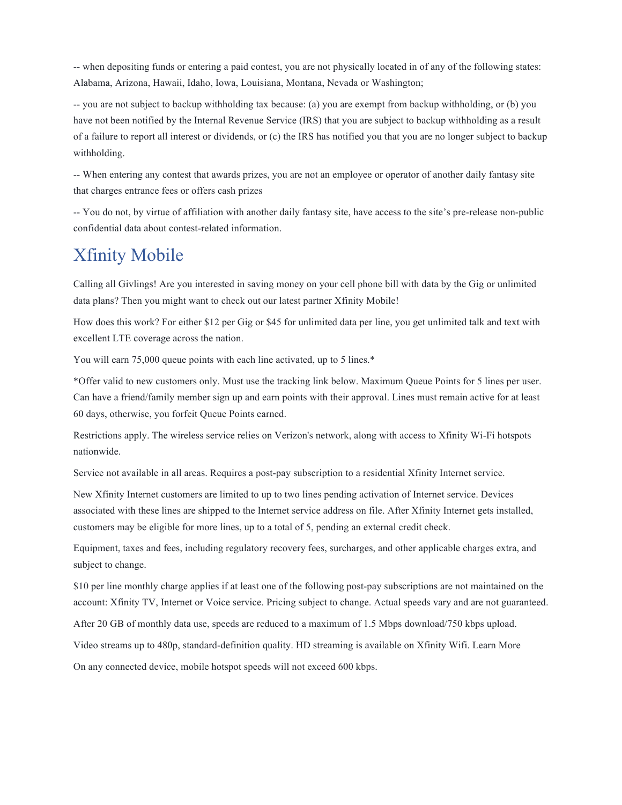-- when depositing funds or entering a paid contest, you are not physically located in of any of the following states: Alabama, Arizona, Hawaii, Idaho, Iowa, Louisiana, Montana, Nevada or Washington;

-- you are not subject to backup withholding tax because: (a) you are exempt from backup withholding, or (b) you have not been notified by the Internal Revenue Service (IRS) that you are subject to backup withholding as a result of a failure to report all interest or dividends, or (c) the IRS has notified you that you are no longer subject to backup withholding.

-- When entering any contest that awards prizes, you are not an employee or operator of another daily fantasy site that charges entrance fees or offers cash prizes

-- You do not, by virtue of affiliation with another daily fantasy site, have access to the site's pre-release non-public confidential data about contest-related information.

## Xfinity Mobile

Calling all Givlings! Are you interested in saving money on your cell phone bill with data by the Gig or unlimited data plans? Then you might want to check out our latest partner Xfinity Mobile!

How does this work? For either \$12 per Gig or \$45 for unlimited data per line, you get unlimited talk and text with excellent LTE coverage across the nation.

You will earn 75,000 queue points with each line activated, up to 5 lines.<sup>\*</sup>

\*Offer valid to new customers only. Must use the tracking link below. Maximum Queue Points for 5 lines per user. Can have a friend/family member sign up and earn points with their approval. Lines must remain active for at least 60 days, otherwise, you forfeit Queue Points earned.

Restrictions apply. The wireless service relies on Verizon's network, along with access to Xfinity Wi-Fi hotspots nationwide.

Service not available in all areas. Requires a post-pay subscription to a residential Xfinity Internet service.

New Xfinity Internet customers are limited to up to two lines pending activation of Internet service. Devices associated with these lines are shipped to the Internet service address on file. After Xfinity Internet gets installed, customers may be eligible for more lines, up to a total of 5, pending an external credit check.

Equipment, taxes and fees, including regulatory recovery fees, surcharges, and other applicable charges extra, and subject to change.

\$10 per line monthly charge applies if at least one of the following post-pay subscriptions are not maintained on the account: Xfinity TV, Internet or Voice service. Pricing subject to change. Actual speeds vary and are not guaranteed.

After 20 GB of monthly data use, speeds are reduced to a maximum of 1.5 Mbps download/750 kbps upload.

Video streams up to 480p, standard-definition quality. HD streaming is available on Xfinity Wifi. Learn More

On any connected device, mobile hotspot speeds will not exceed 600 kbps.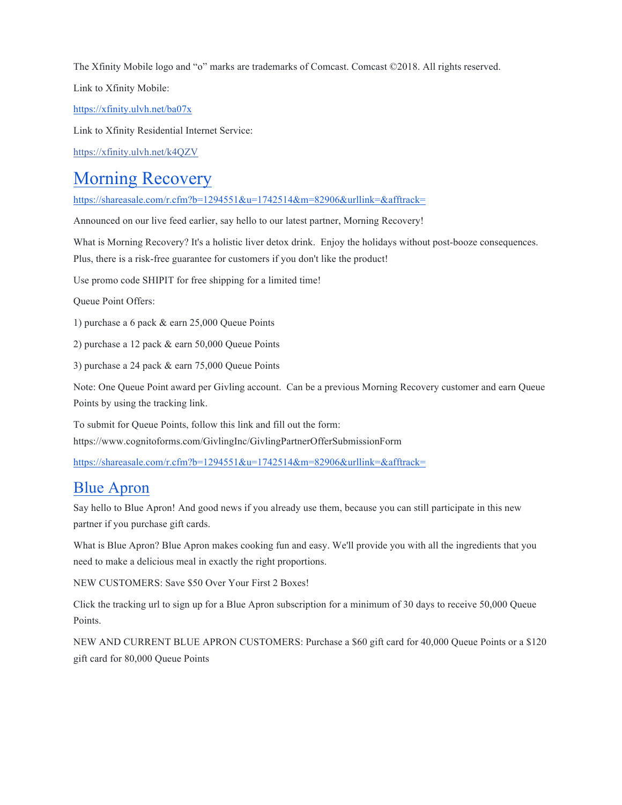The Xfinity Mobile logo and "o" marks are trademarks of Comcast. Comcast ©2018. All rights reserved.

Link to Xfinity Mobile:

https://xfinity.ulvh.net/ba07x

Link to Xfinity Residential Internet Service:

https://xfinity.ulvh.net/k4QZV

### Morning Recovery

https://shareasale.com/r.cfm?b=1294551&u=1742514&m=82906&urllink=&afftrack=

Announced on our live feed earlier, say hello to our latest partner, Morning Recovery!

What is Morning Recovery? It's a holistic liver detox drink. Enjoy the holidays without post-booze consequences.

Plus, there is a risk-free guarantee for customers if you don't like the product!

Use promo code SHIPIT for free shipping for a limited time!

Queue Point Offers:

1) purchase a 6 pack & earn 25,000 Queue Points

2) purchase a 12 pack & earn 50,000 Queue Points

3) purchase a 24 pack & earn 75,000 Queue Points

Note: One Queue Point award per Givling account. Can be a previous Morning Recovery customer and earn Queue Points by using the tracking link.

To submit for Queue Points, follow this link and fill out the form: https://www.cognitoforms.com/GivlingInc/GivlingPartnerOfferSubmissionForm

https://shareasale.com/r.cfm?b=1294551&u=1742514&m=82906&urllink=&afftrack=

#### Blue Apron

Say hello to Blue Apron! And good news if you already use them, because you can still participate in this new partner if you purchase gift cards.

What is Blue Apron? Blue Apron makes cooking fun and easy. We'll provide you with all the ingredients that you need to make a delicious meal in exactly the right proportions.

NEW CUSTOMERS: Save \$50 Over Your First 2 Boxes!

Click the tracking url to sign up for a Blue Apron subscription for a minimum of 30 days to receive 50,000 Queue Points.

NEW AND CURRENT BLUE APRON CUSTOMERS: Purchase a \$60 gift card for 40,000 Queue Points or a \$120 gift card for 80,000 Queue Points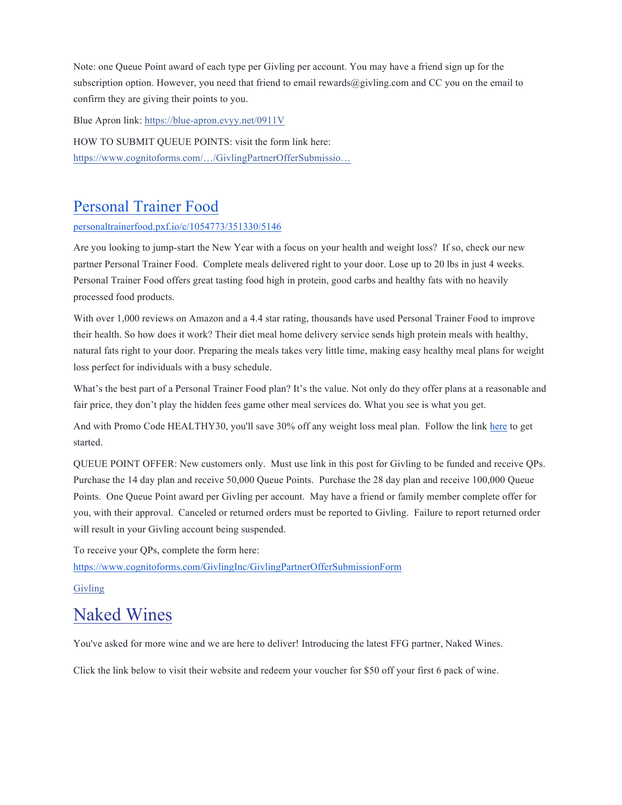Note: one Queue Point award of each type per Givling per account. You may have a friend sign up for the subscription option. However, you need that friend to email rewards@givling.com and CC you on the email to confirm they are giving their points to you.

Blue Apron link: https://blue-apron.evyy.net/0911V

HOW TO SUBMIT QUEUE POINTS: visit the form link here: https://www.cognitoforms.com/…/GivlingPartnerOfferSubmissio…

#### Personal Trainer Food

#### personaltrainerfood.pxf.io/c/1054773/351330/5146

Are you looking to jump-start the New Year with a focus on your health and weight loss? If so, check our new partner Personal Trainer Food. Complete meals delivered right to your door. Lose up to 20 lbs in just 4 weeks. Personal Trainer Food offers great tasting food high in protein, good carbs and healthy fats with no heavily processed food products.

With over 1,000 reviews on Amazon and a 4.4 star rating, thousands have used Personal Trainer Food to improve their health. So how does it work? Their diet meal home delivery service sends high protein meals with healthy, natural fats right to your door. Preparing the meals takes very little time, making easy healthy meal plans for weight loss perfect for individuals with a busy schedule.

What's the best part of a Personal Trainer Food plan? It's the value. Not only do they offer plans at a reasonable and fair price, they don't play the hidden fees game other meal services do. What you see is what you get.

And with Promo Code HEALTHY30, you'll save 30% off any weight loss meal plan. Follow the link here to get started.

QUEUE POINT OFFER: New customers only. Must use link in this post for Givling to be funded and receive QPs. Purchase the 14 day plan and receive 50,000 Queue Points. Purchase the 28 day plan and receive 100,000 Queue Points. One Queue Point award per Givling per account. May have a friend or family member complete offer for you, with their approval. Canceled or returned orders must be reported to Givling. Failure to report returned order will result in your Givling account being suspended.

To receive your QPs, complete the form here:

https://www.cognitoforms.com/GivlingInc/GivlingPartnerOfferSubmissionForm

Givling

#### Naked Wines

You've asked for more wine and we are here to deliver! Introducing the latest FFG partner, Naked Wines.

Click the link below to visit their website and redeem your voucher for \$50 off your first 6 pack of wine.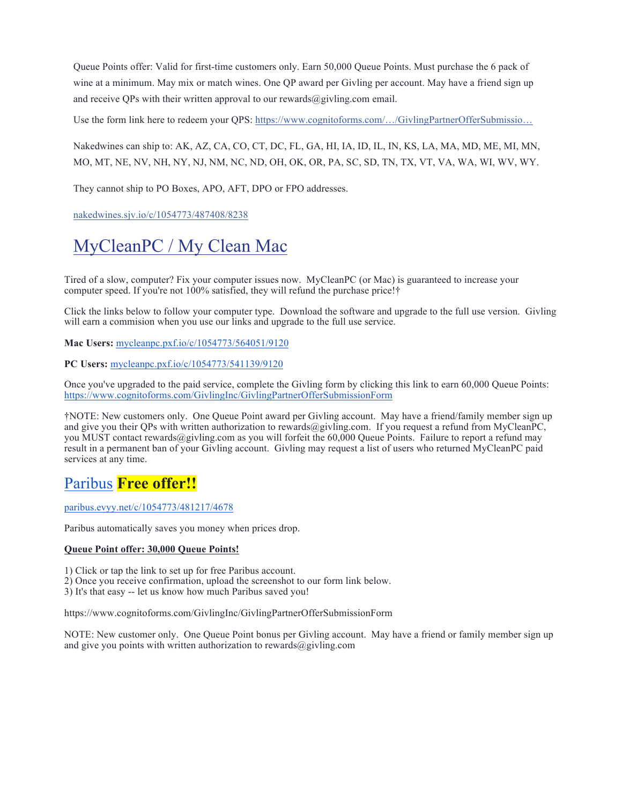Queue Points offer: Valid for first-time customers only. Earn 50,000 Queue Points. Must purchase the 6 pack of wine at a minimum. May mix or match wines. One QP award per Givling per account. May have a friend sign up and receive QPs with their written approval to our rewards $\omega$ givling.com email.

Use the form link here to redeem your QPS: https://www.cognitoforms.com/.../GivlingPartnerOfferSubmissio...

Nakedwines can ship to: AK, AZ, CA, CO, CT, DC, FL, GA, HI, IA, ID, IL, IN, KS, LA, MA, MD, ME, MI, MN, MO, MT, NE, NV, NH, NY, NJ, NM, NC, ND, OH, OK, OR, PA, SC, SD, TN, TX, VT, VA, WA, WI, WV, WY.

They cannot ship to PO Boxes, APO, AFT, DPO or FPO addresses.

nakedwines.sjv.io/c/1054773/487408/8238

# MyCleanPC / My Clean Mac

Tired of a slow, computer? Fix your computer issues now. MyCleanPC (or Mac) is guaranteed to increase your computer speed. If you're not 100% satisfied, they will refund the purchase price!†

Click the links below to follow your computer type. Download the software and upgrade to the full use version. Givling will earn a commision when you use our links and upgrade to the full use service.

**Mac Users:** mycleanpc.pxf.io/c/1054773/564051/9120

**PC Users:** mycleanpc.pxf.io/c/1054773/541139/9120

Once you've upgraded to the paid service, complete the Givling form by clicking this link to earn 60,000 Queue Points: https://www.cognitoforms.com/GivlingInc/GivlingPartnerOfferSubmissionForm

†NOTE: New customers only. One Queue Point award per Givling account. May have a friend/family member sign up and give you their QPs with written authorization to rewards@givling.com. If you request a refund from MyCleanPC, you MUST contact rewards@givling.com as you will forfeit the 60,000 Queue Points. Failure to report a refund may result in a permanent ban of your Givling account. Givling may request a list of users who returned MyCleanPC paid services at any time.

#### Paribus **Free offer!!**

paribus.evyy.net/c/1054773/481217/4678

Paribus automatically saves you money when prices drop.

#### **Queue Point offer: 30,000 Queue Points!**

1) Click or tap the link to set up for free Paribus account.

2) Once you receive confirmation, upload the screenshot to our form link below.

3) It's that easy -- let us know how much Paribus saved you!

https://www.cognitoforms.com/GivlingInc/GivlingPartnerOfferSubmissionForm

NOTE: New customer only. One Queue Point bonus per Givling account. May have a friend or family member sign up and give you points with written authorization to rewards $@g$ ivling.com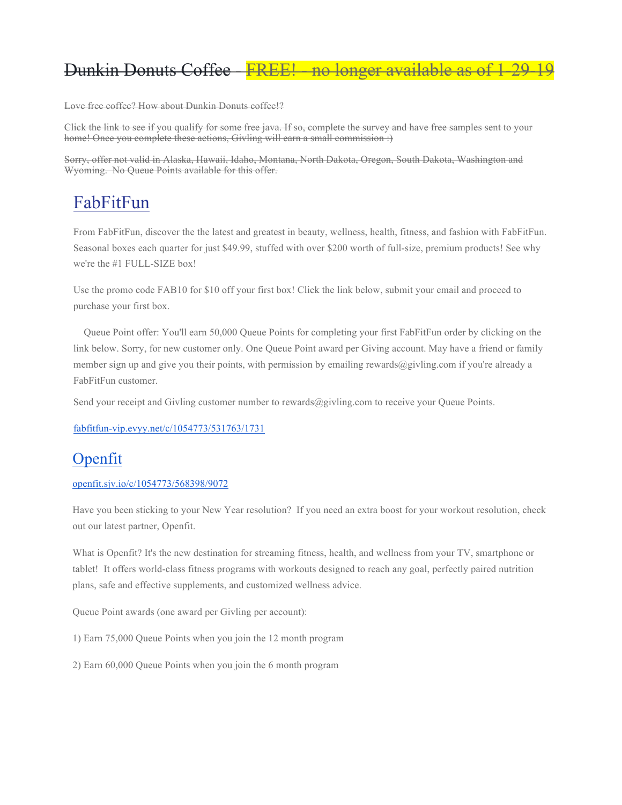## Dunkin Donuts Coffee - FREE! - no longer available as of

Love free coffee? How about Dunkin Donuts coffee!?

Click the link to see if you qualify for some free java. If so, complete the survey and have free samples sent to your home! Once you complete these actions, Givling will earn a small commission :)

Sorry, offer not valid in Alaska, Hawaii, Idaho, Montana, North Dakota, Oregon, South Dakota, Washington and Wyoming. No Queue Points available for this offer.

## FabFitFun

From FabFitFun, discover the the latest and greatest in beauty, wellness, health, fitness, and fashion with FabFitFun. Seasonal boxes each quarter for just \$49.99, stuffed with over \$200 worth of full-size, premium products! See why we're the #1 FULL-SIZE box!

Use the promo code FAB10 for \$10 off your first box! Click the link below, submit your email and proceed to purchase your first box.

 Queue Point offer: You'll earn 50,000 Queue Points for completing your first FabFitFun order by clicking on the link below. Sorry, for new customer only. One Queue Point award per Giving account. May have a friend or family member sign up and give you their points, with permission by emailing rewards $@givling.com$  if you're already a FabFitFun customer.

Send your receipt and Givling customer number to rewards@givling.com to receive your Queue Points.

fabfitfun-vip.evyy.net/c/1054773/531763/1731

#### Openfit

#### openfit.sjv.io/c/1054773/568398/9072

Have you been sticking to your New Year resolution? If you need an extra boost for your workout resolution, check out our latest partner, Openfit.

What is Openfit? It's the new destination for streaming fitness, health, and wellness from your TV, smartphone or tablet! It offers world-class fitness programs with workouts designed to reach any goal, perfectly paired nutrition plans, safe and effective supplements, and customized wellness advice.

Queue Point awards (one award per Givling per account):

1) Earn 75,000 Queue Points when you join the 12 month program

2) Earn 60,000 Queue Points when you join the 6 month program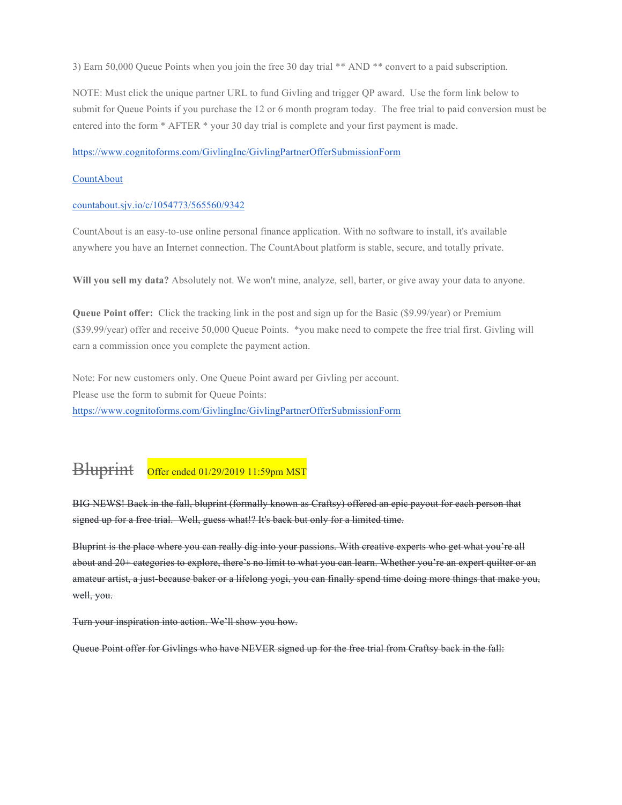3) Earn 50,000 Queue Points when you join the free 30 day trial \*\* AND \*\* convert to a paid subscription.

NOTE: Must click the unique partner URL to fund Givling and trigger QP award. Use the form link below to submit for Queue Points if you purchase the 12 or 6 month program today. The free trial to paid conversion must be entered into the form \* AFTER \* your 30 day trial is complete and your first payment is made.

https://www.cognitoforms.com/GivlingInc/GivlingPartnerOfferSubmissionForm

#### **CountAbout**

#### countabout.sjv.io/c/1054773/565560/9342

CountAbout is an easy-to-use online personal finance application. With no software to install, it's available anywhere you have an Internet connection. The CountAbout platform is stable, secure, and totally private.

**Will you sell my data?** Absolutely not. We won't mine, analyze, sell, barter, or give away your data to anyone.

**Queue Point offer:** Click the tracking link in the post and sign up for the Basic (\$9.99/year) or Premium (\$39.99/year) offer and receive 50,000 Queue Points. \*you make need to compete the free trial first. Givling will earn a commission once you complete the payment action.

Note: For new customers only. One Queue Point award per Givling per account. Please use the form to submit for Queue Points: https://www.cognitoforms.com/GivlingInc/GivlingPartnerOfferSubmissionForm

#### Bluprint Offer ended 01/29/2019 11:59pm MST

BIG NEWS! Back in the fall, bluprint (formally known as Craftsy) offered an epic payout for each person that signed up for a free trial. Well, guess what!? It's back but only for a limited time.

Bluprint is the place where you can really dig into your passions. With creative experts who get what you're all about and 20+ categories to explore, there's no limit to what you can learn. Whether you're an expert quilter or an amateur artist, a just-because baker or a lifelong yogi, you can finally spend time doing more things that make you, well, you.

Turn your inspiration into action. We'll show you how.

Queue Point offer for Givlings who have NEVER signed up for the free trial from Craftsy back in the fall: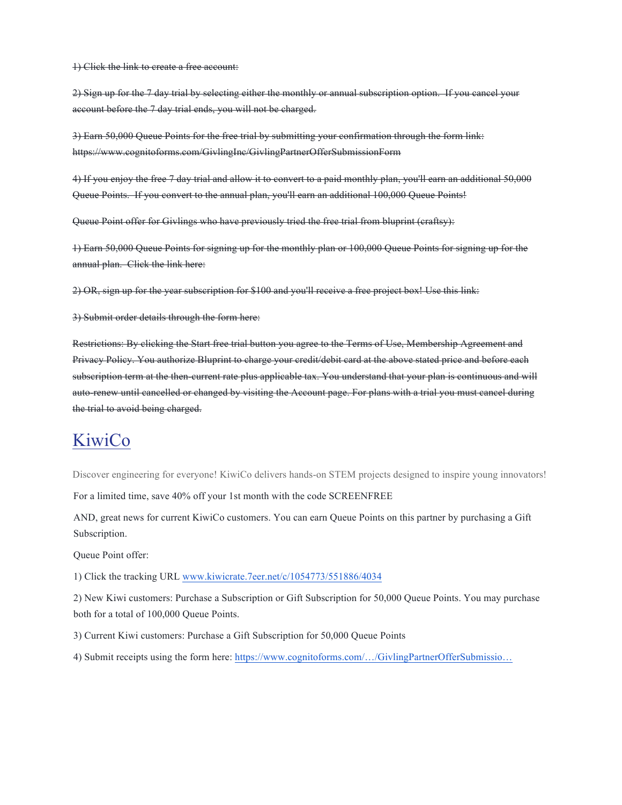1) Click the link to create a free account:

2) Sign up for the 7 day trial by selecting either the monthly or annual subscription option. If you cancel your account before the 7 day trial ends, you will not be charged.

3) Earn 50,000 Queue Points for the free trial by submitting your confirmation through the form link: https://www.cognitoforms.com/GivlingInc/GivlingPartnerOfferSubmissionForm

4) If you enjoy the free 7 day trial and allow it to convert to a paid monthly plan, you'll earn an additional 50,000 Queue Points. If you convert to the annual plan, you'll earn an additional 100,000 Queue Points!

Queue Point offer for Givlings who have previously tried the free trial from bluprint (craftsy):

1) Earn 50,000 Queue Points for signing up for the monthly plan or 100,000 Queue Points for signing up for the annual plan. Click the link here:

2) OR, sign up for the year subscription for \$100 and you'll receive a free project box! Use this link:

3) Submit order details through the form here:

Restrictions: By clicking the Start free trial button you agree to the Terms of Use, Membership Agreement and Privacy Policy. You authorize Bluprint to charge your credit/debit card at the above stated price and before each subscription term at the then-current rate plus applicable tax. You understand that your plan is continuous and will auto-renew until cancelled or changed by visiting the Account page. For plans with a trial you must cancel during the trial to avoid being charged.

### **KiwiCo**

Discover engineering for everyone! KiwiCo delivers hands-on STEM projects designed to inspire young innovators!

For a limited time, save 40% off your 1st month with the code SCREENFREE

AND, great news for current KiwiCo customers. You can earn Queue Points on this partner by purchasing a Gift Subscription.

Queue Point offer:

1) Click the tracking URL www.kiwicrate.7eer.net/c/1054773/551886/4034

2) New Kiwi customers: Purchase a Subscription or Gift Subscription for 50,000 Queue Points. You may purchase both for a total of 100,000 Queue Points.

3) Current Kiwi customers: Purchase a Gift Subscription for 50,000 Queue Points

4) Submit receipts using the form here: https://www.cognitoforms.com/…/GivlingPartnerOfferSubmissio…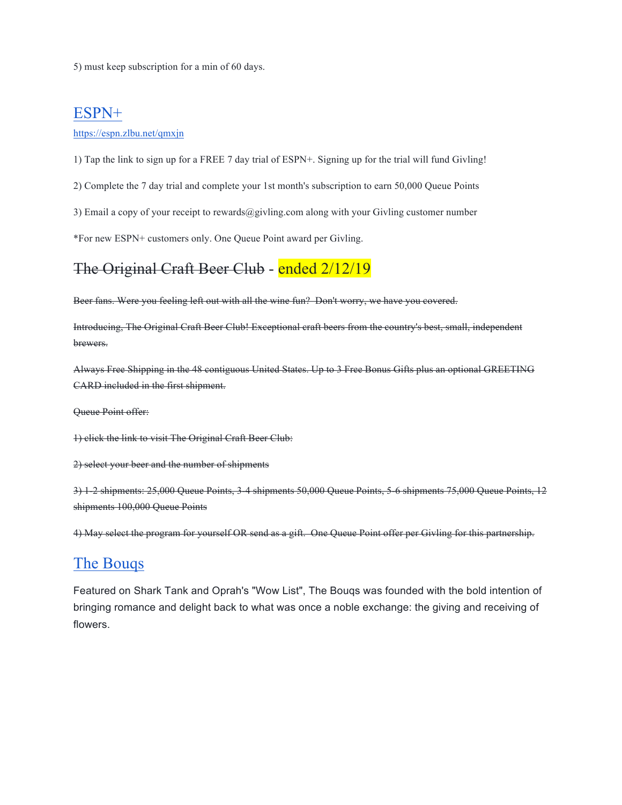5) must keep subscription for a min of 60 days.

#### ESPN+

https://espn.zlbu.net/qmxjn

1) Tap the link to sign up for a FREE 7 day trial of ESPN+. Signing up for the trial will fund Givling!

2) Complete the 7 day trial and complete your 1st month's subscription to earn 50,000 Queue Points

3) Email a copy of your receipt to rewards@givling.com along with your Givling customer number

\*For new ESPN+ customers only. One Queue Point award per Givling.

#### The Original Craft Beer Club - ended 2/12/19

Beer fans. Were you feeling left out with all the wine fun? Don't worry, we have you covered.

Introducing, The Original Craft Beer Club! Exceptional craft beers from the country's best, small, independent brewers.

Always Free Shipping in the 48 contiguous United States. Up to 3 Free Bonus Gifts plus an optional GREETING CARD included in the first shipment.

Queue Point offer:

1) click the link to visit The Original Craft Beer Club:

2) select your beer and the number of shipments

3) 1-2 shipments: 25,000 Queue Points, 3-4 shipments 50,000 Queue Points, 5-6 shipments 75,000 Queue Points, 12 shipments 100,000 Queue Points

4) May select the program for yourself OR send as a gift. One Queue Point offer per Givling for this partnership.

#### The Bouqs

Featured on Shark Tank and Oprah's "Wow List", The Bouqs was founded with the bold intention of bringing romance and delight back to what was once a noble exchange: the giving and receiving of flowers.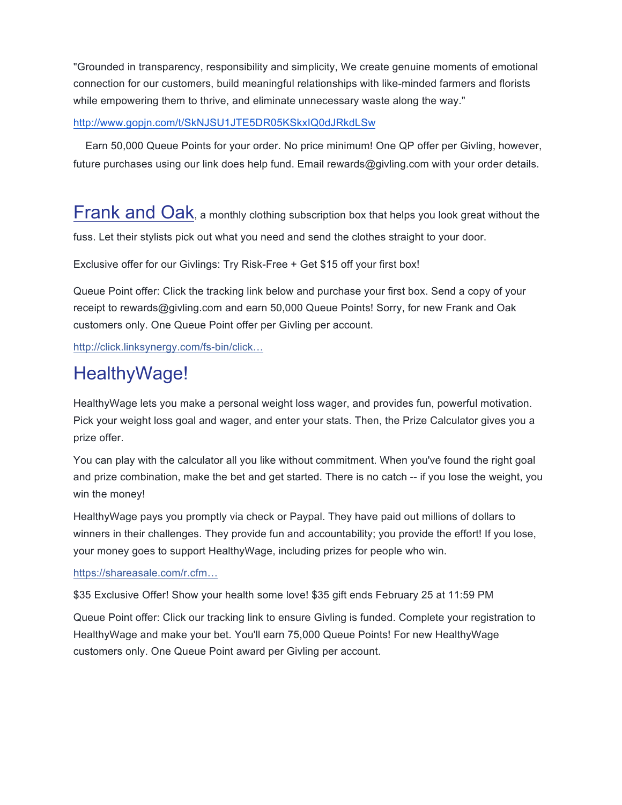"Grounded in transparency, responsibility and simplicity, We create genuine moments of emotional connection for our customers, build meaningful relationships with like-minded farmers and florists while empowering them to thrive, and eliminate unnecessary waste along the way."

#### http://www.gopjn.com/t/SkNJSU1JTE5DR05KSkxIQ0dJRkdLSw

 Earn 50,000 Queue Points for your order. No price minimum! One QP offer per Givling, however, future purchases using our link does help fund. Email rewards@givling.com with your order details.

Frank and Oak, a monthly clothing subscription box that helps you look great without the fuss. Let their stylists pick out what you need and send the clothes straight to your door.

Exclusive offer for our Givlings: Try Risk-Free + Get \$15 off your first box!

Queue Point offer: Click the tracking link below and purchase your first box. Send a copy of your receipt to rewards@givling.com and earn 50,000 Queue Points! Sorry, for new Frank and Oak customers only. One Queue Point offer per Givling per account.

http://click.linksynergy.com/fs-bin/click…

# HealthyWage!

HealthyWage lets you make a personal weight loss wager, and provides fun, powerful motivation. Pick your weight loss goal and wager, and enter your stats. Then, the Prize Calculator gives you a prize offer.

You can play with the calculator all you like without commitment. When you've found the right goal and prize combination, make the bet and get started. There is no catch -- if you lose the weight, you win the money!

HealthyWage pays you promptly via check or Paypal. They have paid out millions of dollars to winners in their challenges. They provide fun and accountability; you provide the effort! If you lose, your money goes to support HealthyWage, including prizes for people who win.

#### https://shareasale.com/r.cfm…

\$35 Exclusive Offer! Show your health some love! \$35 gift ends February 25 at 11:59 PM

Queue Point offer: Click our tracking link to ensure Givling is funded. Complete your registration to HealthyWage and make your bet. You'll earn 75,000 Queue Points! For new HealthyWage customers only. One Queue Point award per Givling per account.